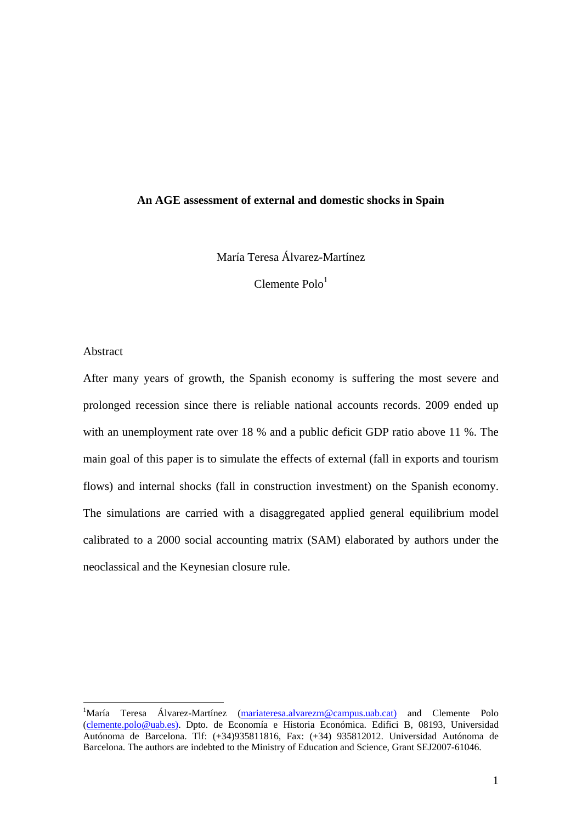#### **An AGE assessment of external and domestic shocks in Spain**

María Teresa Álvarez-Martínez

 $C$ lemente Polo $<sup>1</sup>$ </sup>

### Abstract

1

After many years of growth, the Spanish economy is suffering the most severe and prolonged recession since there is reliable national accounts records. 2009 ended up with an unemployment rate over 18 % and a public deficit GDP ratio above 11 %. The main goal of this paper is to simulate the effects of external (fall in exports and tourism flows) and internal shocks (fall in construction investment) on the Spanish economy. The simulations are carried with a disaggregated applied general equilibrium model calibrated to a 2000 social accounting matrix (SAM) elaborated by authors under the neoclassical and the Keynesian closure rule.

<sup>&</sup>lt;sup>1</sup>María Teresa Álvarez-Martínez (mariateresa. alvarezm@campus. uab.cat) and Clemente Polo (clemente.polo@uab.es). Dpto. de Economía e Historia Económica. Edifici B, 08193, Universidad Autónoma de Barcelona. Tlf: (+34)935811816, Fax: (+34) 935812012. Universidad Autónoma de Barcelona. The authors are indebted to the Ministry of Education and Science, Grant SEJ2007-61046.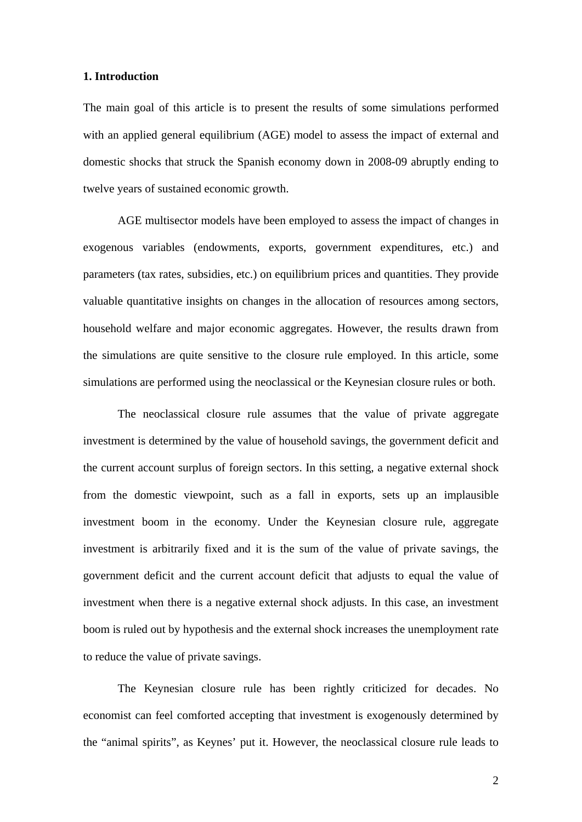#### **1. Introduction**

The main goal of this article is to present the results of some simulations performed with an applied general equilibrium (AGE) model to assess the impact of external and domestic shocks that struck the Spanish economy down in 2008-09 abruptly ending to twelve years of sustained economic growth.

AGE multisector models have been employed to assess the impact of changes in exogenous variables (endowments, exports, government expenditures, etc.) and parameters (tax rates, subsidies, etc.) on equilibrium prices and quantities. They provide valuable quantitative insights on changes in the allocation of resources among sectors, household welfare and major economic aggregates. However, the results drawn from the simulations are quite sensitive to the closure rule employed. In this article, some simulations are performed using the neoclassical or the Keynesian closure rules or both.

The neoclassical closure rule assumes that the value of private aggregate investment is determined by the value of household savings, the government deficit and the current account surplus of foreign sectors. In this setting, a negative external shock from the domestic viewpoint, such as a fall in exports, sets up an implausible investment boom in the economy. Under the Keynesian closure rule, aggregate investment is arbitrarily fixed and it is the sum of the value of private savings, the government deficit and the current account deficit that adjusts to equal the value of investment when there is a negative external shock adjusts. In this case, an investment boom is ruled out by hypothesis and the external shock increases the unemployment rate to reduce the value of private savings.

The Keynesian closure rule has been rightly criticized for decades. No economist can feel comforted accepting that investment is exogenously determined by the "animal spirits", as Keynes' put it. However, the neoclassical closure rule leads to

2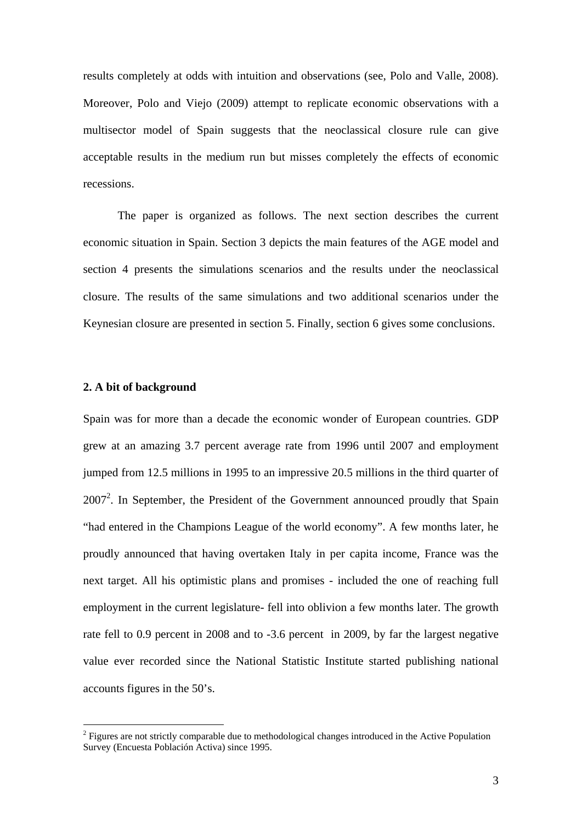results completely at odds with intuition and observations (see, Polo and Valle, 2008). Moreover, Polo and Viejo (2009) attempt to replicate economic observations with a multisector model of Spain suggests that the neoclassical closure rule can give acceptable results in the medium run but misses completely the effects of economic recessions.

The paper is organized as follows. The next section describes the current economic situation in Spain. Section 3 depicts the main features of the AGE model and section 4 presents the simulations scenarios and the results under the neoclassical closure. The results of the same simulations and two additional scenarios under the Keynesian closure are presented in section 5. Finally, section 6 gives some conclusions.

#### **2. A bit of background**

1

Spain was for more than a decade the economic wonder of European countries. GDP grew at an amazing 3.7 percent average rate from 1996 until 2007 and employment jumped from 12.5 millions in 1995 to an impressive 20.5 millions in the third quarter of  $2007<sup>2</sup>$ . In September, the President of the Government announced proudly that Spain "had entered in the Champions League of the world economy". A few months later, he proudly announced that having overtaken Italy in per capita income, France was the next target. All his optimistic plans and promises - included the one of reaching full employment in the current legislature- fell into oblivion a few months later. The growth rate fell to 0.9 percent in 2008 and to -3.6 percent in 2009, by far the largest negative value ever recorded since the National Statistic Institute started publishing national accounts figures in the 50's.

 $2$  Figures are not strictly comparable due to methodological changes introduced in the Active Population Survey (Encuesta Población Activa) since 1995.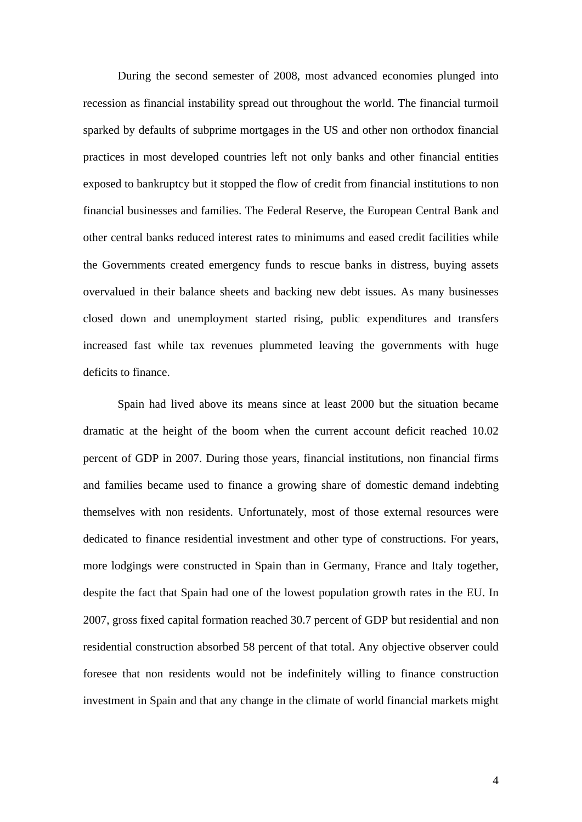During the second semester of 2008, most advanced economies plunged into recession as financial instability spread out throughout the world. The financial turmoil sparked by defaults of subprime mortgages in the US and other non orthodox financial practices in most developed countries left not only banks and other financial entities exposed to bankruptcy but it stopped the flow of credit from financial institutions to non financial businesses and families. The Federal Reserve, the European Central Bank and other central banks reduced interest rates to minimums and eased credit facilities while the Governments created emergency funds to rescue banks in distress, buying assets overvalued in their balance sheets and backing new debt issues. As many businesses closed down and unemployment started rising, public expenditures and transfers increased fast while tax revenues plummeted leaving the governments with huge deficits to finance.

Spain had lived above its means since at least 2000 but the situation became dramatic at the height of the boom when the current account deficit reached 10.02 percent of GDP in 2007. During those years, financial institutions, non financial firms and families became used to finance a growing share of domestic demand indebting themselves with non residents. Unfortunately, most of those external resources were dedicated to finance residential investment and other type of constructions. For years, more lodgings were constructed in Spain than in Germany, France and Italy together, despite the fact that Spain had one of the lowest population growth rates in the EU. In 2007, gross fixed capital formation reached 30.7 percent of GDP but residential and non residential construction absorbed 58 percent of that total. Any objective observer could foresee that non residents would not be indefinitely willing to finance construction investment in Spain and that any change in the climate of world financial markets might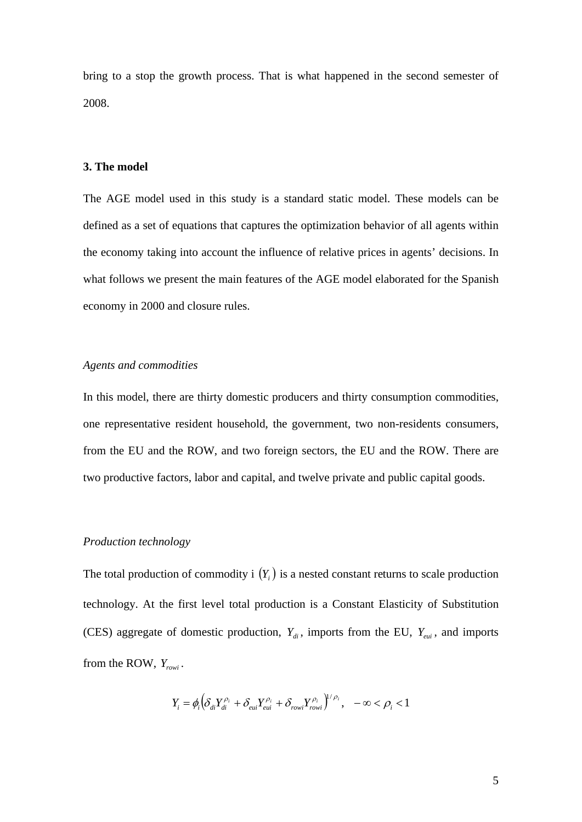bring to a stop the growth process. That is what happened in the second semester of 2008.

#### **3. The model**

The AGE model used in this study is a standard static model. These models can be defined as a set of equations that captures the optimization behavior of all agents within the economy taking into account the influence of relative prices in agents' decisions. In what follows we present the main features of the AGE model elaborated for the Spanish economy in 2000 and closure rules.

### *Agents and commodities*

In this model, there are thirty domestic producers and thirty consumption commodities, one representative resident household, the government, two non-residents consumers, from the EU and the ROW, and two foreign sectors, the EU and the ROW. There are two productive factors, labor and capital, and twelve private and public capital goods.

### *Production technology*

The total production of commodity i  $(Y_i)$  is a nested constant returns to scale production technology. At the first level total production is a Constant Elasticity of Substitution (CES) aggregate of domestic production,  $Y_{di}$ , imports from the EU,  $Y_{eui}$ , and imports from the ROW, *Yrowi* .

$$
Y_i = \phi_i \Big( \delta_{di} Y_{di}^{\rho_i} + \delta_{eui} Y_{eui}^{\rho_i} + \delta_{rowi} Y_{rowi}^{\rho_i} \Big)^{1/\rho_i}, \quad -\infty < \rho_i < 1
$$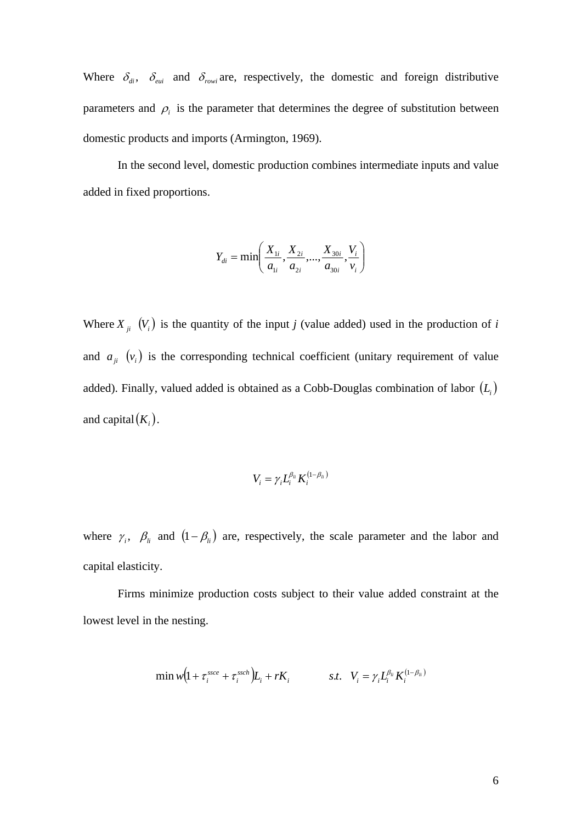Where  $\delta_{di}$ ,  $\delta_{eui}$  and  $\delta_{rowi}$  are, respectively, the domestic and foreign distributive parameters and  $\rho_i$  is the parameter that determines the degree of substitution between domestic products and imports (Armington, 1969).

In the second level, domestic production combines intermediate inputs and value added in fixed proportions.

$$
Y_{di} = \min\left(\frac{X_{1i}}{a_{1i}}, \frac{X_{2i}}{a_{2i}}, ..., \frac{X_{30i}}{a_{30i}}, \frac{V_i}{V_i}\right)
$$

Where  $X_{ii}$   $(V_i)$  is the quantity of the input *j* (value added) used in the production of *i* and  $a_{ji}$   $(v_i)$  is the corresponding technical coefficient (unitary requirement of value added). Finally, valued added is obtained as a Cobb-Douglas combination of labor  $(L<sub>i</sub>)$ and capital $(K_i)$ .

$$
V_i = \gamma_i L_i^{\beta_{li}} K_i^{(1-\beta_{li})}
$$

where  $\gamma_i$ ,  $\beta_i$  and  $(1 - \beta_i)$  are, respectively, the scale parameter and the labor and capital elasticity.

Firms minimize production costs subject to their value added constraint at the lowest level in the nesting.

$$
\min w \big(1 + \tau_i^{\textit{ssce}} + \tau_i^{\textit{ssch}}\big) L_i + rK_i \hspace{1cm} s.t. \hspace{0.3cm} V_i = \gamma_i L_i^{\beta_{ii}} K_i^{(1-\beta_{ii})}
$$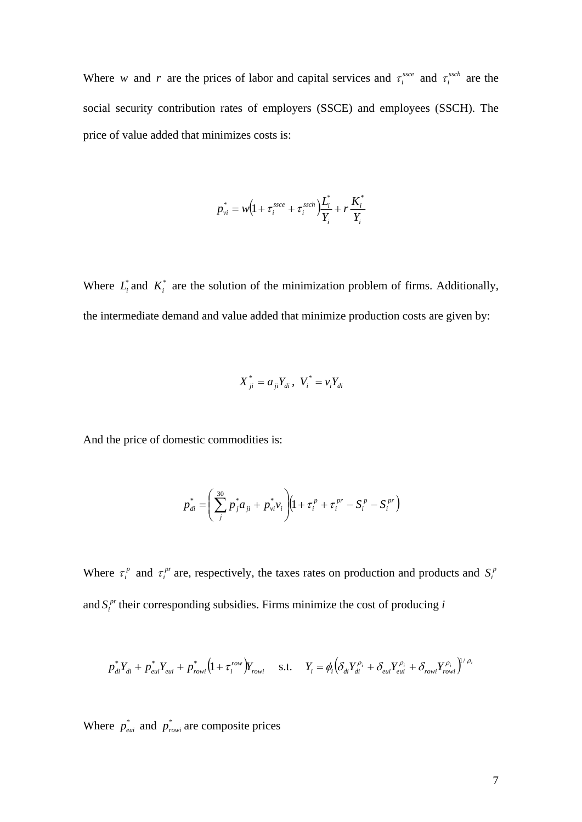Where *w* and *r* are the prices of labor and capital services and  $\tau_i^{s}$  and  $\tau_i^{ssch}$  are the social security contribution rates of employers (SSCE) and employees (SSCH). The price of value added that minimizes costs is:

$$
p_{vi}^* = w \left( 1 + \tau_i^{ssce} + \tau_i^{ssch} \right) \frac{L_i^*}{Y_i} + r \frac{K_i^*}{Y_i}
$$

Where  $L_i^*$  and  $K_i^*$  are the solution of the minimization problem of firms. Additionally, the intermediate demand and value added that minimize production costs are given by:

$$
X_{ji}^* = a_{ji} Y_{di}, \ V_i^* = v_i Y_{di}
$$

And the price of domestic commodities is:

$$
p_{di}^* = \left(\sum_{j}^{30} p_j^* a_{ji} + p_{vi}^* v_i\right) \left(1 + \tau_i^p + \tau_i^{pr} - S_i^p - S_i^{pr}\right)
$$

Where  $\tau_i^p$  and  $\tau_i^{pr}$  are, respectively, the taxes rates on production and products and  $S_i^p$ and  $S_i^{pr}$  their corresponding subsidies. Firms minimize the cost of producing  $i$ 

$$
p_{di}^* Y_{di} + p_{eui}^* Y_{eui} + p_{rowi}^* \left(1 + \tau_i^{row}\right) Y_{rowi} \quad \text{s.t.} \quad Y_i = \phi_i \left(\delta_{di} Y_{di}^{\rho_i} + \delta_{eui} Y_{eui}^{\rho_i} + \delta_{rowi} Y_{rowi}^{\rho_i}\right)^{1/\rho_i}
$$

Where  $p_{\text{eui}}^*$  and  $p_{\text{rowi}}^*$  are composite prices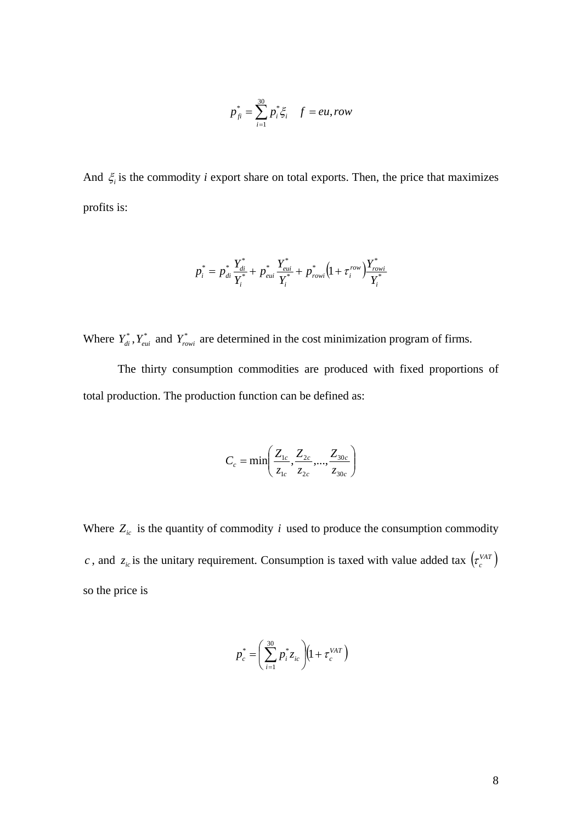$$
p_{fi}^* = \sum_{i=1}^{30} p_i^* \xi_i \quad f = eu, row
$$

And  $\xi$  is the commodity *i* export share on total exports. Then, the price that maximizes profits is:

$$
p_i^* = p_{di}^* \frac{Y_{di}^*}{Y_i^*} + p_{eui}^* \frac{Y_{eui}^*}{Y_i^*} + p_{rowi}^* \left(1 + \tau_i^{row}\right) \frac{Y_{rowi}^*}{Y_i^*}
$$

Where  $Y_{di}^*$ ,  $Y_{eui}^*$  and  $Y_{rowi}^*$  are determined in the cost minimization program of firms.

The thirty consumption commodities are produced with fixed proportions of total production. The production function can be defined as:

$$
C_c = \min\left(\frac{Z_{1c}}{z_{1c}}, \frac{Z_{2c}}{z_{2c}}, ..., \frac{Z_{30c}}{z_{30c}}\right)
$$

Where  $Z_{ic}$  is the quantity of commodity *i* used to produce the consumption commodity *c*, and  $z_c$  is the unitary requirement. Consumption is taxed with value added tax  $(z_c^{VAT})$ so the price is

$$
p_c^* = \left(\sum_{i=1}^{30} p_i^* z_{ic}\right) (1 + \tau_c^{VAT})
$$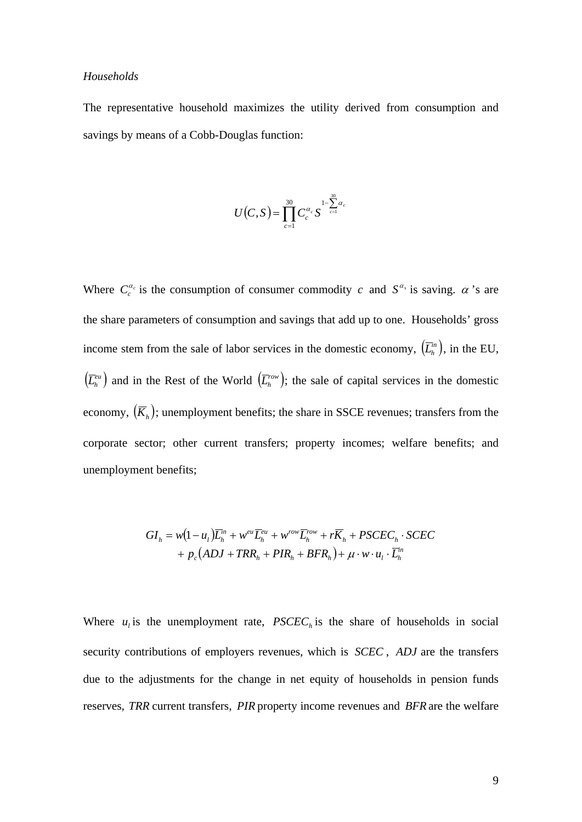#### *Households*

The representative household maximizes the utility derived from consumption and savings by means of a Cobb-Douglas function:

$$
U(C, S) = \prod_{c=1}^{30} C_c^{\alpha_c} S^{1-\sum_{c=1}^{30} \alpha_c}
$$

Where  $C_c^{\alpha_c}$  is the consumption of consumer commodity *c* and  $S^{\alpha_s}$  is saving.  $\alpha$  's are the share parameters of consumption and savings that add up to one. Households' gross income stem from the sale of labor services in the domestic economy,  $(\overline{L}_h^m)$ , in the EU,  $(\overline{L}_{h}^{eu})$  and in the Rest of the World  $(\overline{L}_{h}^{row})$ ; the sale of capital services in the domestic economy,  $(\overline{K}_h)$ ; unemployment benefits; the share in SSCE revenues; transfers from the corporate sector; other current transfers; property incomes; welfare benefits; and unemployment benefits;

$$
GI_h = w(1 - u_1)\overline{L}_h^m + w^{eu}\overline{L}_h^{eu} + w^{row}\overline{L}_h^{row} + r\overline{K}_h + PSCEC_h \cdot SCEC
$$
  
+  $p_c(ADJ + TRR_h + PIR_h + BFR_h) + \mu \cdot w \cdot u_1 \cdot \overline{L}_h^m$ 

Where  $u_i$  is the unemployment rate,  $PSCEC<sub>h</sub>$  is the share of households in social security contributions of employers revenues, which is *SCEC* , *ADJ* are the transfers due to the adjustments for the change in net equity of households in pension funds reserves, *TRR* current transfers, *PIR* property income revenues and *BFR*are the welfare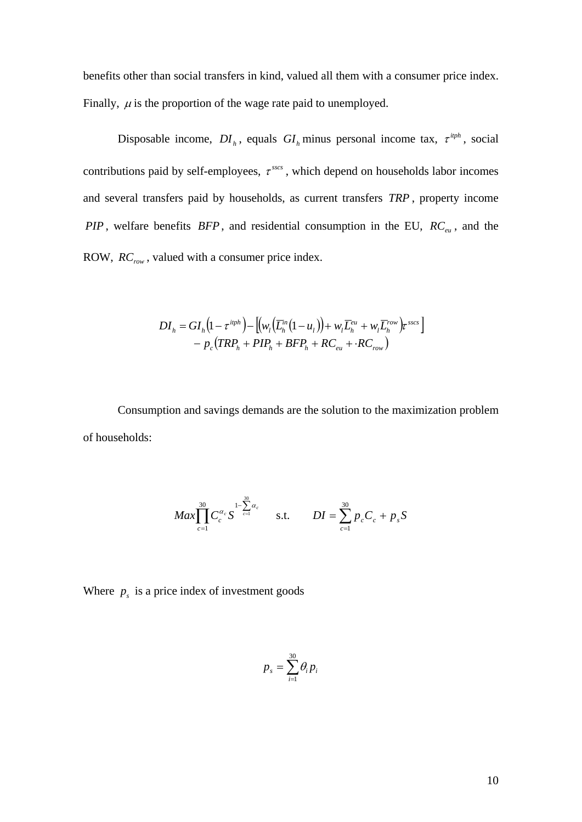benefits other than social transfers in kind, valued all them with a consumer price index. Finally,  $\mu$  is the proportion of the wage rate paid to unemployed.

Disposable income,  $DI_h$ , equals  $GI_h$  minus personal income tax,  $\tau^{iph}$ , social contributions paid by self-employees,  $\tau^{sscs}$ , which depend on households labor incomes and several transfers paid by households, as current transfers *TRP* , property income *PIP*, welfare benefits  $BFP$ , and residential consumption in the EU,  $RC_{eu}$ , and the ROW,  $RC_{row}$ , valued with a consumer price index.

$$
DI_h = GI_h(1 - \tau^{itph}) - \left[ \left( w_t \left( \overline{L}_h^{in}(1 - u_t) \right) + w_t \overline{L}_h^{eu} + w_t \overline{L}_h^{row} \right) \tau^{sscs} \right] - p_c \left( TRP_h + PIP_h + BFP_h + RC_{eu} + \cdot RC_{row} \right)
$$

Consumption and savings demands are the solution to the maximization problem of households:

$$
Max \prod_{c=1}^{30} C_c^{\alpha_c} S^{1-\sum_{c=1}^{30} \alpha_c} \qquad \text{s.t.} \qquad DI = \sum_{c=1}^{30} p_c C_c + p_s S
$$

Where  $p_s$  is a price index of investment goods

$$
p_{s}=\sum_{i=1}^{30}\theta_{i}p_{i}
$$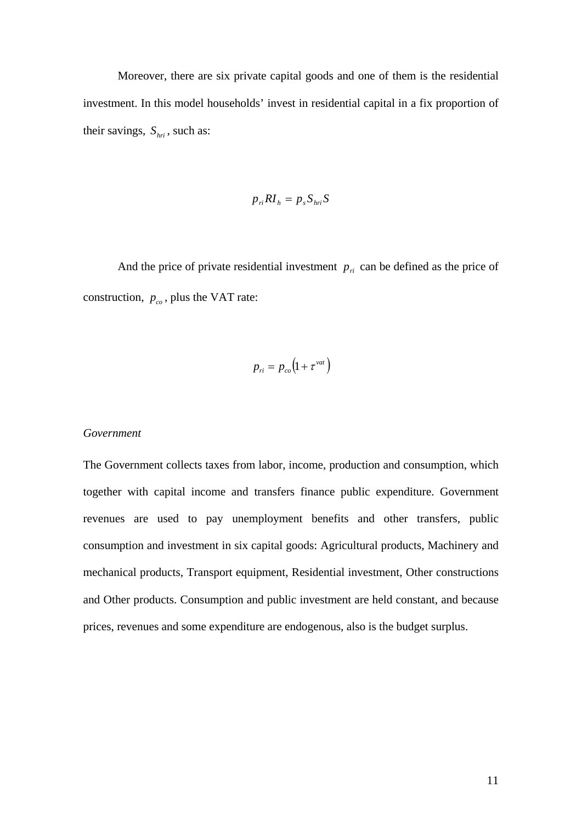Moreover, there are six private capital goods and one of them is the residential investment. In this model households' invest in residential capital in a fix proportion of their savings,  $S_{\text{hri}}$ , such as:

$$
p_{ri}RI_h = p_s S_{hri} S
$$

And the price of private residential investment  $p_{ri}$  can be defined as the price of construction,  $p_{co}$ , plus the VAT rate:

$$
p_{ri} = p_{co} \left( 1 + \tau^{vat} \right)
$$

#### *Government*

The Government collects taxes from labor, income, production and consumption, which together with capital income and transfers finance public expenditure. Government revenues are used to pay unemployment benefits and other transfers, public consumption and investment in six capital goods: Agricultural products, Machinery and mechanical products, Transport equipment, Residential investment, Other constructions and Other products. Consumption and public investment are held constant, and because prices, revenues and some expenditure are endogenous, also is the budget surplus.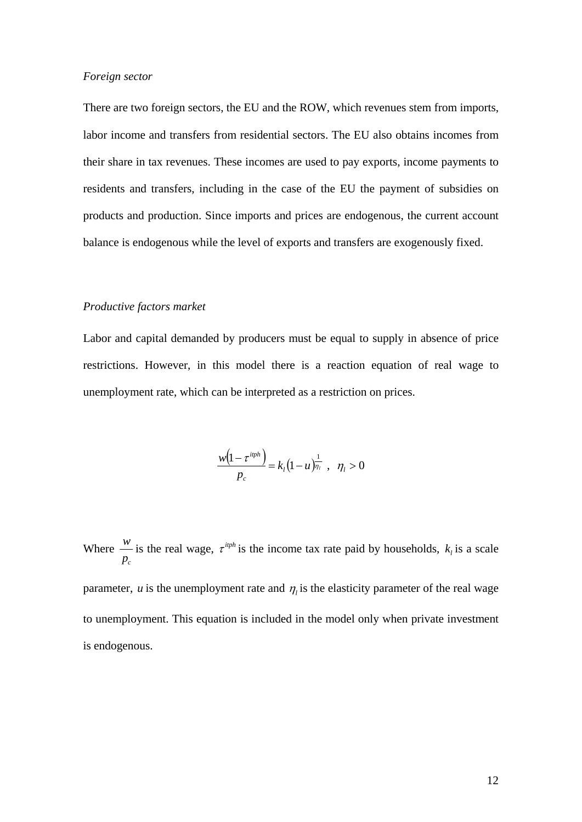### *Foreign sector*

There are two foreign sectors, the EU and the ROW, which revenues stem from imports, labor income and transfers from residential sectors. The EU also obtains incomes from their share in tax revenues. These incomes are used to pay exports, income payments to residents and transfers, including in the case of the EU the payment of subsidies on products and production. Since imports and prices are endogenous, the current account balance is endogenous while the level of exports and transfers are exogenously fixed.

#### *Productive factors market*

Labor and capital demanded by producers must be equal to supply in absence of price restrictions. However, in this model there is a reaction equation of real wage to unemployment rate, which can be interpreted as a restriction on prices.

$$
\frac{w(1-\tau^{i\eta h})}{p_c} = k_l(1-u)^{\frac{1}{\eta_l}}, \quad \eta_l > 0
$$

Where *pc w* is the real wage,  $\tau^{iph}$  is the income tax rate paid by households,  $k_i$  is a scale parameter, *u* is the unemployment rate and  $\eta$  is the elasticity parameter of the real wage to unemployment. This equation is included in the model only when private investment is endogenous.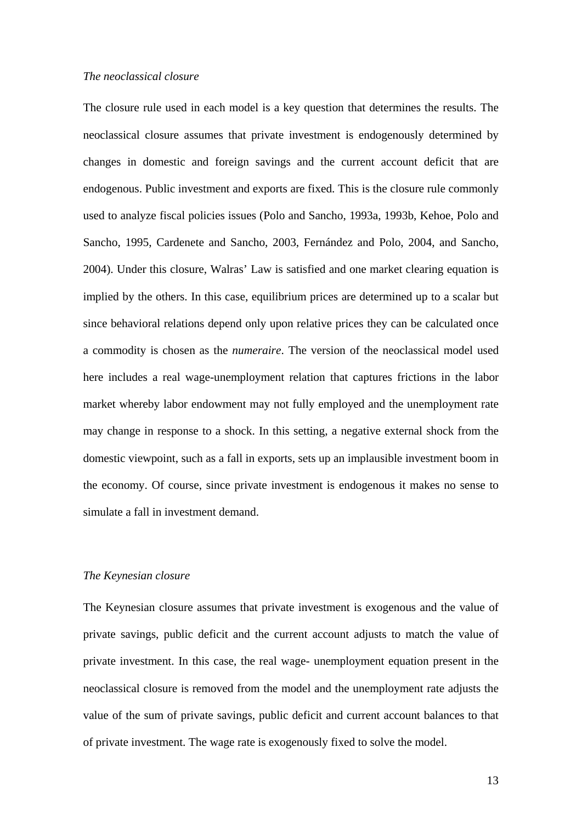### *The neoclassical closure*

The closure rule used in each model is a key question that determines the results. The neoclassical closure assumes that private investment is endogenously determined by changes in domestic and foreign savings and the current account deficit that are endogenous. Public investment and exports are fixed. This is the closure rule commonly used to analyze fiscal policies issues (Polo and Sancho, 1993a, 1993b, Kehoe, Polo and Sancho, 1995, Cardenete and Sancho, 2003, Fernández and Polo, 2004, and Sancho, 2004). Under this closure, Walras' Law is satisfied and one market clearing equation is implied by the others. In this case, equilibrium prices are determined up to a scalar but since behavioral relations depend only upon relative prices they can be calculated once a commodity is chosen as the *numeraire*. The version of the neoclassical model used here includes a real wage-unemployment relation that captures frictions in the labor market whereby labor endowment may not fully employed and the unemployment rate may change in response to a shock. In this setting, a negative external shock from the domestic viewpoint, such as a fall in exports, sets up an implausible investment boom in the economy. Of course, since private investment is endogenous it makes no sense to simulate a fall in investment demand.

#### *The Keynesian closure*

The Keynesian closure assumes that private investment is exogenous and the value of private savings, public deficit and the current account adjusts to match the value of private investment. In this case, the real wage- unemployment equation present in the neoclassical closure is removed from the model and the unemployment rate adjusts the value of the sum of private savings, public deficit and current account balances to that of private investment. The wage rate is exogenously fixed to solve the model.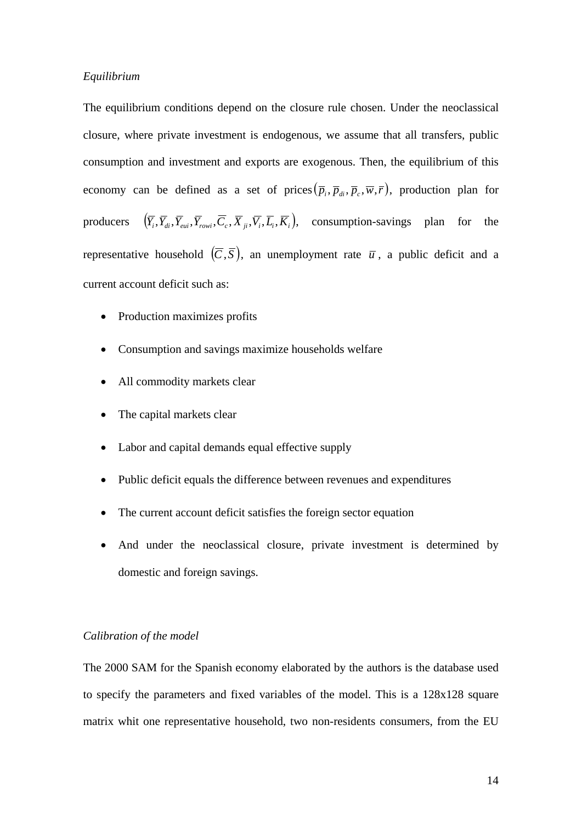### *Equilibrium*

The equilibrium conditions depend on the closure rule chosen. Under the neoclassical closure, where private investment is endogenous, we assume that all transfers, public consumption and investment and exports are exogenous. Then, the equilibrium of this economy can be defined as a set of prices  $(\overline{p}_i, \overline{p}_i, \overline{p}_i, \overline{w}, \overline{r})$ , production plan for producers  $(\overline{Y}_i, \overline{Y}_{di}, \overline{Y}_{eui}, \overline{Y}_{rowi}, \overline{C}_i, \overline{X}_{ji}, \overline{V}_i, \overline{L}_i, \overline{K}_i)$ , consumption-savings plan for the representative household  $(\overline{C}, \overline{S})$ , an unemployment rate  $\overline{u}$ , a public deficit and a current account deficit such as:

- Production maximizes profits
- Consumption and savings maximize households welfare
- All commodity markets clear
- The capital markets clear
- Labor and capital demands equal effective supply
- Public deficit equals the difference between revenues and expenditures
- The current account deficit satisfies the foreign sector equation
- And under the neoclassical closure, private investment is determined by domestic and foreign savings.

### *Calibration of the model*

The 2000 SAM for the Spanish economy elaborated by the authors is the database used to specify the parameters and fixed variables of the model. This is a 128x128 square matrix whit one representative household, two non-residents consumers, from the EU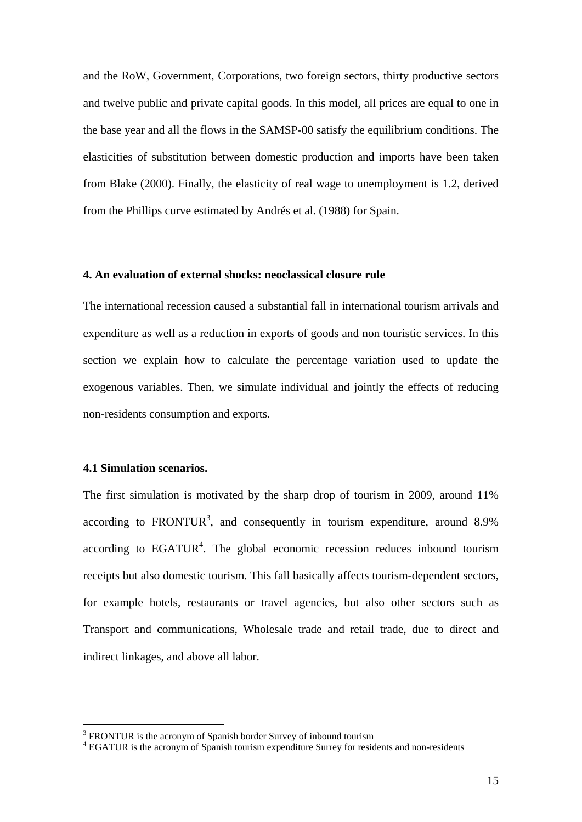and the RoW, Government, Corporations, two foreign sectors, thirty productive sectors and twelve public and private capital goods. In this model, all prices are equal to one in the base year and all the flows in the SAMSP-00 satisfy the equilibrium conditions. The elasticities of substitution between domestic production and imports have been taken from Blake (2000). Finally, the elasticity of real wage to unemployment is 1.2, derived from the Phillips curve estimated by Andrés et al. (1988) for Spain.

### **4. An evaluation of external shocks: neoclassical closure rule**

The international recession caused a substantial fall in international tourism arrivals and expenditure as well as a reduction in exports of goods and non touristic services. In this section we explain how to calculate the percentage variation used to update the exogenous variables. Then, we simulate individual and jointly the effects of reducing non-residents consumption and exports.

### **4.1 Simulation scenarios.**

1

The first simulation is motivated by the sharp drop of tourism in 2009, around 11% according to FRONTUR<sup>3</sup>, and consequently in tourism expenditure, around  $8.9\%$ according to  $EGATUR<sup>4</sup>$ . The global economic recession reduces inbound tourism receipts but also domestic tourism. This fall basically affects tourism-dependent sectors, for example hotels, restaurants or travel agencies, but also other sectors such as Transport and communications, Wholesale trade and retail trade, due to direct and indirect linkages, and above all labor.

 $3$  FRONTUR is the acronym of Spanish border Survey of inbound tourism

<sup>&</sup>lt;sup>4</sup> EGATUR is the acronym of Spanish tourism expenditure Surrey for residents and non-residents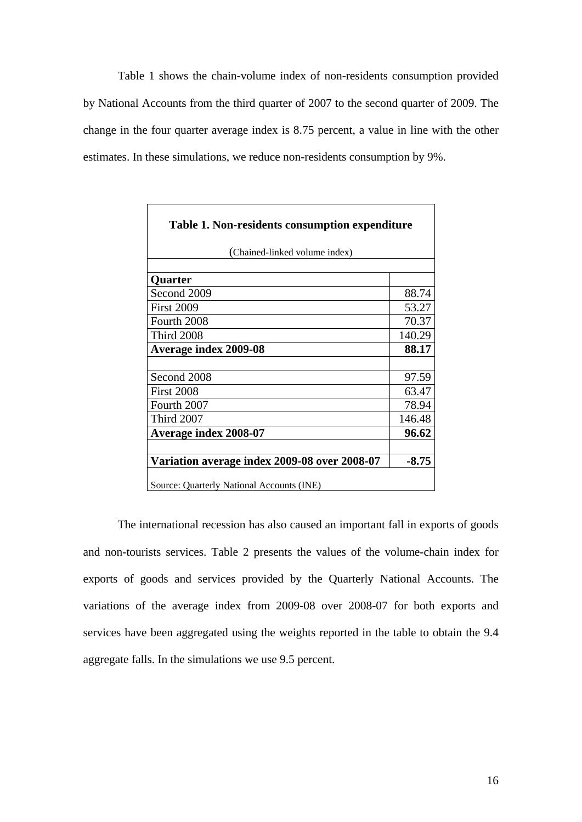Table 1 shows the chain-volume index of non-residents consumption provided by National Accounts from the third quarter of 2007 to the second quarter of 2009. The change in the four quarter average index is 8.75 percent, a value in line with the other estimates. In these simulations, we reduce non-residents consumption by 9%.

| Table 1. Non-residents consumption expenditure |         |  |
|------------------------------------------------|---------|--|
| (Chained-linked volume index)                  |         |  |
|                                                |         |  |
| Quarter                                        |         |  |
| Second 2009                                    | 88.74   |  |
| <b>First 2009</b>                              | 53.27   |  |
| Fourth 2008                                    | 70.37   |  |
| <b>Third 2008</b>                              | 140.29  |  |
| <b>Average index 2009-08</b>                   | 88.17   |  |
|                                                |         |  |
| Second 2008                                    | 97.59   |  |
| <b>First 2008</b>                              | 63.47   |  |
| Fourth 2007                                    | 78.94   |  |
| <b>Third 2007</b>                              | 146.48  |  |
| <b>Average index 2008-07</b>                   | 96.62   |  |
|                                                |         |  |
| Variation average index 2009-08 over 2008-07   | $-8.75$ |  |
| Source: Quarterly National Accounts (INE)      |         |  |

The international recession has also caused an important fall in exports of goods and non-tourists services. Table 2 presents the values of the volume-chain index for exports of goods and services provided by the Quarterly National Accounts. The variations of the average index from 2009-08 over 2008-07 for both exports and services have been aggregated using the weights reported in the table to obtain the 9.4 aggregate falls. In the simulations we use 9.5 percent.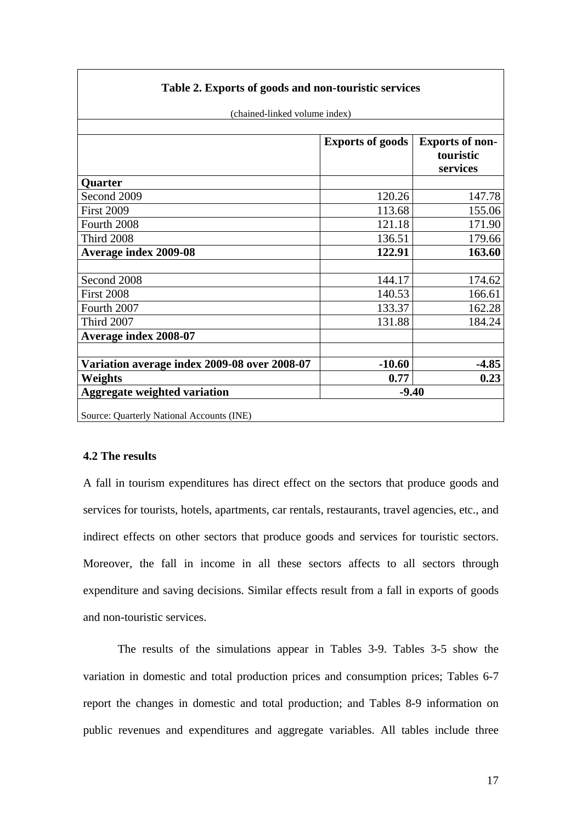| Table 2. Exports of goods and non-touristic services |                         |                        |
|------------------------------------------------------|-------------------------|------------------------|
| (chained-linked volume index)                        |                         |                        |
|                                                      |                         |                        |
|                                                      | <b>Exports of goods</b> | <b>Exports of non-</b> |
|                                                      |                         | touristic              |
|                                                      |                         | services               |
| <b>Quarter</b>                                       |                         |                        |
| Second 2009                                          | 120.26                  | 147.78                 |
| <b>First 2009</b>                                    | 113.68                  | 155.06                 |
| Fourth 2008                                          | 121.18                  | 171.90                 |
| <b>Third 2008</b>                                    | 136.51                  | 179.66                 |
| Average index 2009-08                                | 122.91                  | 163.60                 |
|                                                      |                         |                        |
| Second 2008                                          | 144.17                  | 174.62                 |
| <b>First 2008</b>                                    | 140.53                  | 166.61                 |
| Fourth 2007                                          | 133.37                  | 162.28                 |
| <b>Third 2007</b>                                    | 131.88                  | 184.24                 |
| Average index 2008-07                                |                         |                        |
|                                                      |                         |                        |
| Variation average index 2009-08 over 2008-07         | $-10.60$                | $-4.85$                |
| Weights                                              | 0.77                    | 0.23                   |
| <b>Aggregate weighted variation</b>                  | $-9.40$                 |                        |
| Source: Quarterly National Accounts (INE)            |                         |                        |

### **4.2 The results**

A fall in tourism expenditures has direct effect on the sectors that produce goods and services for tourists, hotels, apartments, car rentals, restaurants, travel agencies, etc., and indirect effects on other sectors that produce goods and services for touristic sectors. Moreover, the fall in income in all these sectors affects to all sectors through expenditure and saving decisions. Similar effects result from a fall in exports of goods and non-touristic services.

 The results of the simulations appear in Tables 3-9. Tables 3-5 show the variation in domestic and total production prices and consumption prices; Tables 6-7 report the changes in domestic and total production; and Tables 8-9 information on public revenues and expenditures and aggregate variables. All tables include three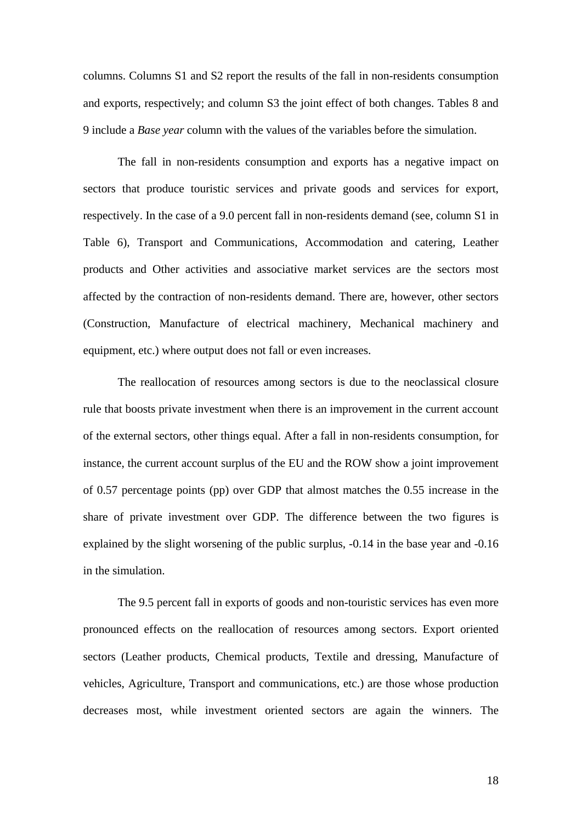columns. Columns S1 and S2 report the results of the fall in non-residents consumption and exports, respectively; and column S3 the joint effect of both changes. Tables 8 and 9 include a *Base year* column with the values of the variables before the simulation.

 The fall in non-residents consumption and exports has a negative impact on sectors that produce touristic services and private goods and services for export, respectively. In the case of a 9.0 percent fall in non-residents demand (see, column S1 in Table 6), Transport and Communications, Accommodation and catering, Leather products and Other activities and associative market services are the sectors most affected by the contraction of non-residents demand. There are, however, other sectors (Construction, Manufacture of electrical machinery, Mechanical machinery and equipment, etc.) where output does not fall or even increases.

 The reallocation of resources among sectors is due to the neoclassical closure rule that boosts private investment when there is an improvement in the current account of the external sectors, other things equal. After a fall in non-residents consumption, for instance, the current account surplus of the EU and the ROW show a joint improvement of 0.57 percentage points (pp) over GDP that almost matches the 0.55 increase in the share of private investment over GDP. The difference between the two figures is explained by the slight worsening of the public surplus, -0.14 in the base year and -0.16 in the simulation.

The 9.5 percent fall in exports of goods and non-touristic services has even more pronounced effects on the reallocation of resources among sectors. Export oriented sectors (Leather products, Chemical products, Textile and dressing, Manufacture of vehicles, Agriculture, Transport and communications, etc.) are those whose production decreases most, while investment oriented sectors are again the winners. The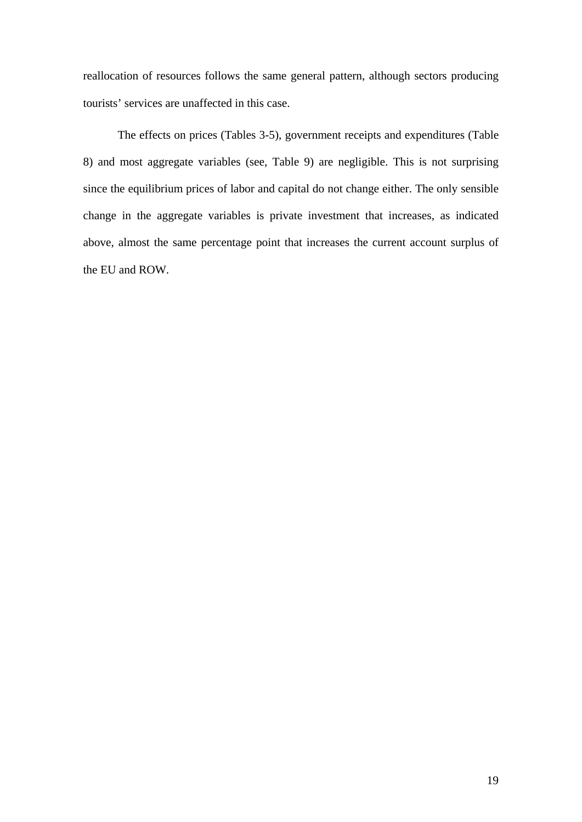reallocation of resources follows the same general pattern, although sectors producing tourists' services are unaffected in this case.

The effects on prices (Tables 3-5), government receipts and expenditures (Table 8) and most aggregate variables (see, Table 9) are negligible. This is not surprising since the equilibrium prices of labor and capital do not change either. The only sensible change in the aggregate variables is private investment that increases, as indicated above, almost the same percentage point that increases the current account surplus of the EU and ROW.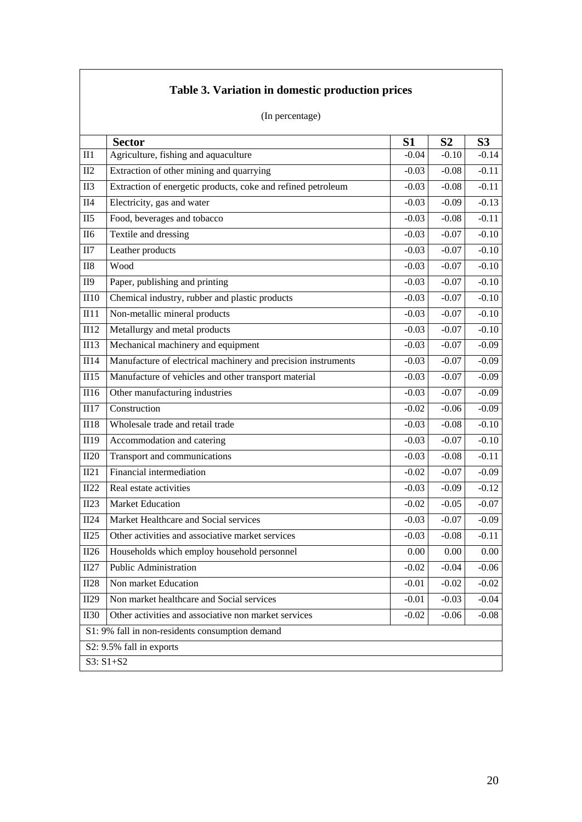|             | (In percentage)                                               |                |                |                |
|-------------|---------------------------------------------------------------|----------------|----------------|----------------|
|             | <b>Sector</b>                                                 | S <sub>1</sub> | S <sub>2</sub> | S <sub>3</sub> |
| II1         | Agriculture, fishing and aquaculture                          | $-0.04$        | $-0.10$        | $-0.14$        |
| II2         | Extraction of other mining and quarrying                      | $-0.03$        | $-0.08$        | $-0.11$        |
| II3         | Extraction of energetic products, coke and refined petroleum  | $-0.03$        | $-0.08$        | $-0.11$        |
| II4         | Electricity, gas and water                                    | $-0.03$        | $-0.09$        | $-0.13$        |
| II5         | Food, beverages and tobacco                                   | $-0.03$        | $-0.08$        | $-0.11$        |
| <b>II6</b>  | Textile and dressing                                          | $-0.03$        | $-0.07$        | $-0.10$        |
| II7         | Leather products                                              | $-0.03$        | $-0.07$        | $-0.10$        |
| $II8$       | Wood                                                          | $-0.03$        | $-0.07$        | $-0.10$        |
| <b>II9</b>  | Paper, publishing and printing                                | $-0.03$        | $-0.07$        | $-0.10$        |
| II10        | Chemical industry, rubber and plastic products                | $-0.03$        | $-0.07$        | $-0.10$        |
| II11        | Non-metallic mineral products                                 | $-0.03$        | $-0.07$        | $-0.10$        |
| II12        | Metallurgy and metal products                                 | $-0.03$        | $-0.07$        | $-0.10$        |
| II13        | Mechanical machinery and equipment                            | $-0.03$        | $-0.07$        | $-0.09$        |
| II14        | Manufacture of electrical machinery and precision instruments | $-0.03$        | $-0.07$        | $-0.09$        |
| II15        | Manufacture of vehicles and other transport material          | $-0.03$        | $-0.07$        | $-0.09$        |
| II16        | Other manufacturing industries                                | $-0.03$        | $-0.07$        | $-0.09$        |
| II17        | Construction                                                  | $-0.02$        | $-0.06$        | $-0.09$        |
| II18        | Wholesale trade and retail trade                              | $-0.03$        | $-0.08$        | $-0.10$        |
| II19        | Accommodation and catering                                    | $-0.03$        | $-0.07$        | $-0.10$        |
| II20        | Transport and communications                                  | $-0.03$        | $-0.08$        | $-0.11$        |
| II21        | Financial intermediation                                      | $-0.02$        | $-0.07$        | $-0.09$        |
| II22        | Real estate activities                                        | $-0.03$        | $-0.09$        | $-0.12$        |
| II23        | <b>Market Education</b>                                       | $-0.02$        | $-0.05$        | $-0.07$        |
| II24        | Market Healthcare and Social services                         | $-0.03$        | $-0.07$        | $-0.09$        |
| II25        | Other activities and associative market services              | $-0.03$        | $-0.08$        | $-0.11$        |
| II26        | Households which employ household personnel                   | 0.00           | $0.00\,$       | $0.00\,$       |
| II27        | Public Administration                                         | $-0.02$        | $-0.04$        | $-0.06$        |
| II28        | Non market Education                                          | $-0.01$        | $-0.02$        | $-0.02$        |
| II29        | Non market healthcare and Social services                     | $-0.01$        | $-0.03$        | $-0.04$        |
| <b>II30</b> | Other activities and associative non market services          | $-0.02$        | $-0.06$        | $-0.08$        |
|             | S1: 9% fall in non-residents consumption demand               |                |                |                |
|             | S2: 9.5% fall in exports                                      |                |                |                |
|             | S3: S1+S2                                                     |                |                |                |

# **Table 3. Variation in domestic production prices**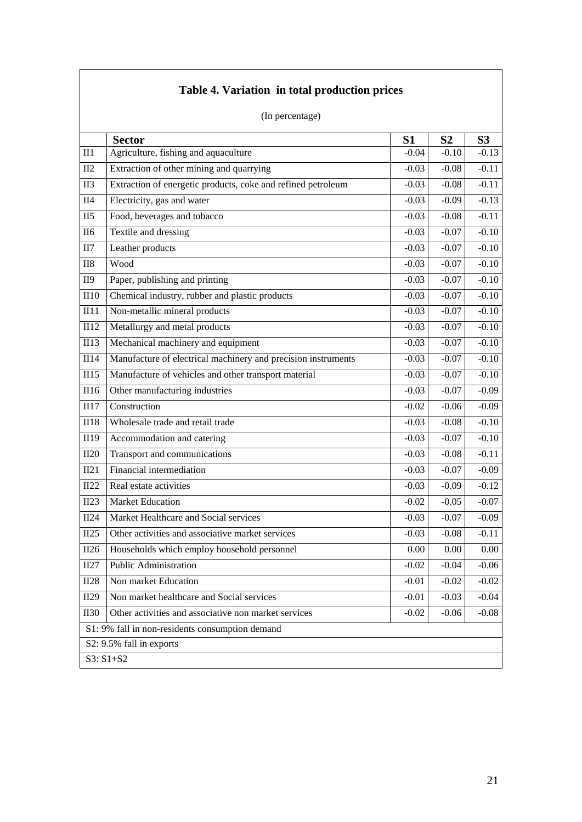|             | (In percentage)                                               |                |                |                    |
|-------------|---------------------------------------------------------------|----------------|----------------|--------------------|
|             | <b>Sector</b>                                                 | S <sub>1</sub> | S <sub>2</sub> | S <sub>3</sub>     |
| II1         | Agriculture, fishing and aquaculture                          | $-0.04$        | $-0.10$        | $-0.13$            |
| II2         | Extraction of other mining and quarrying                      | $-0.03$        | $-0.08$        | $-0.11$            |
| II3         | Extraction of energetic products, coke and refined petroleum  | $-0.03$        | $-0.08$        | $-0.11$            |
| II4         | Electricity, gas and water                                    | $-0.03$        | $-0.09$        | $-0.13$            |
| II5         | Food, beverages and tobacco                                   | $-0.03$        | $-0.08$        | $-0.11$            |
| <b>II6</b>  | Textile and dressing                                          | $-0.03$        | $-0.07$        | $-0.10$            |
| II7         | Leather products                                              | $-0.03$        | $-0.07$        | $-0.10$            |
| $II8$       | Wood                                                          | $-0.03$        | $-0.07$        | $-0.10$            |
| <b>II9</b>  | Paper, publishing and printing                                | $-0.03$        | $-0.07$        | $-0.10$            |
| II10        | Chemical industry, rubber and plastic products                | $-0.03$        | $-0.07$        | $-0.10$            |
| II11        | Non-metallic mineral products                                 | $-0.03$        | $-0.07$        | $-0.10$            |
| II12        | Metallurgy and metal products                                 | $-0.03$        | $-0.07$        | $-0.10$            |
| II13        | Mechanical machinery and equipment                            | $-0.03$        | $-0.07$        | $-0.10$            |
| II14        | Manufacture of electrical machinery and precision instruments | $-0.03$        | $-0.07$        | $-0.10$            |
| II15        | Manufacture of vehicles and other transport material          | $-0.03$        | $-0.07$        | $-0.10$            |
| II16        | Other manufacturing industries                                | $-0.03$        | $-0.07$        | $-0.09$            |
| II17        | Construction                                                  | $-0.02$        | $-0.06$        | $-0.09$            |
| <b>II18</b> | Wholesale trade and retail trade                              | $-0.03$        | $-0.08$        | $-0.10$            |
| II19        | Accommodation and catering                                    | $-0.03$        | $-0.07$        | $-0.\overline{10}$ |
| II20        | Transport and communications                                  | $-0.03$        | $-0.08$        | $-0.11$            |
| II21        | Financial intermediation                                      | $-0.03$        | $-0.07$        | $-0.09$            |
| II22        | Real estate activities                                        | $-0.03$        | $-0.09$        | $-0.12$            |
| II23        | Market Education                                              | $-0.02$        | $-0.05$        | $-0.07$            |
| II24        | Market Healthcare and Social services                         | $-0.03$        | $-0.07$        | $-0.09$            |
| II25        | Other activities and associative market services              | $-0.03$        | $-0.08$        | $-0.11$            |
| II26        | Households which employ household personnel                   | 0.00           | 0.00           | 0.00               |
| II27        | Public Administration                                         | $-0.02$        | $-0.04$        | $-0.06$            |
| II28        | Non market Education                                          | $-0.01$        | $-0.02$        | $-0.02$            |
| II29        | Non market healthcare and Social services                     | $-0.01$        | $-0.03$        | $-0.04$            |
| <b>II30</b> | Other activities and associative non market services          | $-0.02$        | $-0.06$        | $-0.08$            |
|             | S1: 9% fall in non-residents consumption demand               |                |                |                    |
|             | S2: 9.5% fall in exports                                      |                |                |                    |
|             | S3: S1+S2                                                     |                |                |                    |

# **Table 4. Variation in total production prices**

21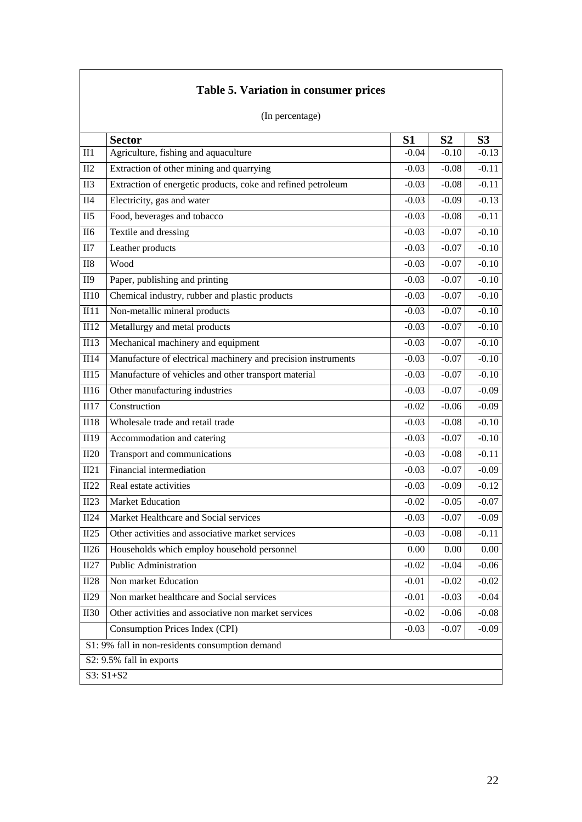|             | (In percentage)                                               |                |                |                |
|-------------|---------------------------------------------------------------|----------------|----------------|----------------|
|             | <b>Sector</b>                                                 | S <sub>1</sub> | S <sub>2</sub> | S <sub>3</sub> |
| II1         | Agriculture, fishing and aquaculture                          | $-0.04$        | $-0.10$        | $-0.13$        |
| II2         | Extraction of other mining and quarrying                      | $-0.03$        | $-0.08$        | $-0.11$        |
| II3         | Extraction of energetic products, coke and refined petroleum  | $-0.03$        | $-0.08$        | $-0.11$        |
| II4         | Electricity, gas and water                                    | $-0.03$        | $-0.09$        | $-0.13$        |
| II5         | Food, beverages and tobacco                                   | $-0.03$        | $-0.08$        | $-0.11$        |
| <b>II6</b>  | Textile and dressing                                          | $-0.03$        | $-0.07$        | $-0.10$        |
| II7         | Leather products                                              | $-0.03$        | $-0.07$        | $-0.10$        |
| <b>II8</b>  | Wood                                                          | $-0.03$        | $-0.07$        | $-0.10$        |
| II9         | Paper, publishing and printing                                | $-0.03$        | $-0.07$        | $-0.10$        |
| II10        | Chemical industry, rubber and plastic products                | $-0.03$        | $-0.07$        | $-0.10$        |
| II11        | Non-metallic mineral products                                 | $-0.03$        | $-0.07$        | $-0.10$        |
| II12        | Metallurgy and metal products                                 | $-0.03$        | $-0.07$        | $-0.10$        |
| <b>II13</b> | Mechanical machinery and equipment                            | $-0.03$        | $-0.07$        | $-0.10$        |
| II14        | Manufacture of electrical machinery and precision instruments | $-0.03$        | $-0.07$        | $-0.10$        |
| II15        | Manufacture of vehicles and other transport material          | $-0.03$        | $-0.07$        | $-0.10$        |
| II16        | Other manufacturing industries                                | $-0.03$        | $-0.07$        | $-0.09$        |
| II17        | Construction                                                  | $-0.02$        | $-0.06$        | $-0.09$        |
| <b>II18</b> | Wholesale trade and retail trade                              | $-0.03$        | $-0.08$        | $-0.10$        |
| II19        | Accommodation and catering                                    | $-0.03$        | $-0.07$        | $-0.10$        |
| II20        | Transport and communications                                  | $-0.03$        | $-0.08$        | $-0.11$        |
| II21        | Financial intermediation                                      | $-0.03$        | $-0.07$        | $-0.09$        |
| II22        | Real estate activities                                        | $-0.03$        | $-0.09$        | $-0.12$        |
| II23        | Market Education                                              | $-0.02$        | $-0.05$        | $-0.07$        |
| II24        | Market Healthcare and Social services                         | $-0.03$        | $-0.07$        | $-0.09$        |
| II25        | Other activities and associative market services              | $-0.03$        | $-0.08$        | $-0.11$        |
| II26        | Households which employ household personnel                   | 0.00           | 0.00           | $0.00\,$       |
| II27        | <b>Public Administration</b>                                  | $-0.02$        | $-0.04$        | $-0.06$        |
| <b>II28</b> | Non market Education                                          | $-0.01$        | $-0.02$        | $-0.02$        |
| II29        | Non market healthcare and Social services                     | $-0.01$        | $-0.03$        | $-0.04$        |
| <b>II30</b> | Other activities and associative non market services          | $-0.02$        | $-0.06$        | $-0.08$        |
|             | Consumption Prices Index (CPI)                                | $-0.03$        | $-0.07$        | $-0.09$        |
|             | S1: 9% fall in non-residents consumption demand               |                |                |                |
|             | S2: 9.5% fall in exports                                      |                |                |                |
|             | S3: S1+S2                                                     |                |                |                |

# **Table 5. Variation in consumer prices**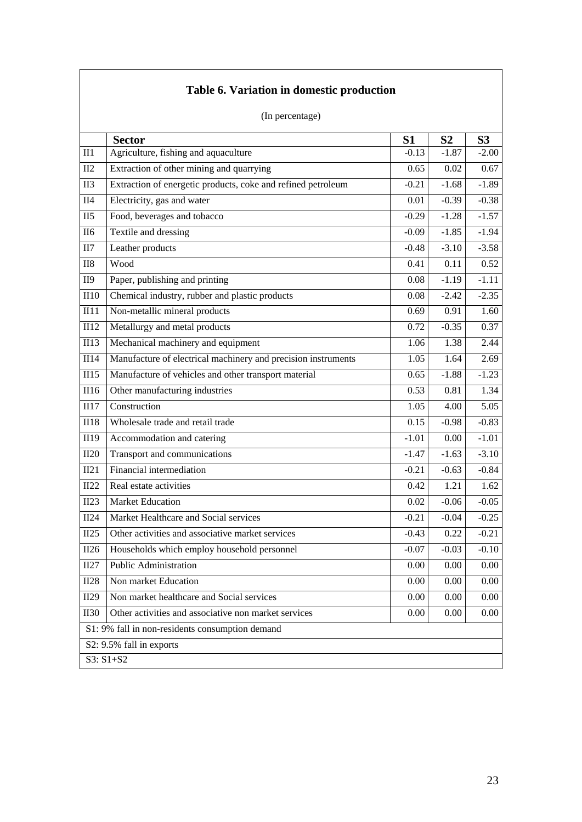|                   | (In percentage)                                               |                |                |                |
|-------------------|---------------------------------------------------------------|----------------|----------------|----------------|
|                   | <b>Sector</b>                                                 | S <sub>1</sub> | S <sub>2</sub> | S <sub>3</sub> |
| $II1$             | Agriculture, fishing and aquaculture                          | $-0.13$        | $-1.87$        | $-2.00$        |
| II2               | Extraction of other mining and quarrying                      | 0.65           | 0.02           | 0.67           |
| <b>II3</b>        | Extraction of energetic products, coke and refined petroleum  | $-0.21$        | $-1.68$        | $-1.89$        |
| <b>II4</b>        | Electricity, gas and water                                    | 0.01           | $-0.39$        | $-0.38$        |
| II5               | Food, beverages and tobacco                                   | $-0.29$        | $-1.28$        | $-1.57$        |
| <b>II6</b>        | Textile and dressing                                          | $-0.09$        | $-1.85$        | $-1.94$        |
| II7               | Leather products                                              | $-0.48$        | $-3.10$        | $-3.58$        |
| <b>II8</b>        | Wood                                                          | 0.41           | 0.11           | 0.52           |
| II9               | Paper, publishing and printing                                | 0.08           | $-1.19$        | $-1.11$        |
| II10              | Chemical industry, rubber and plastic products                | 0.08           | $-2.42$        | $-2.35$        |
| $\overline{1111}$ | Non-metallic mineral products                                 | 0.69           | 0.91           | 1.60           |
| II12              | Metallurgy and metal products                                 | 0.72           | $-0.35$        | 0.37           |
| <b>II13</b>       | Mechanical machinery and equipment                            | 1.06           | 1.38           | 2.44           |
| II14              | Manufacture of electrical machinery and precision instruments | 1.05           | 1.64           | 2.69           |
| II15              | Manufacture of vehicles and other transport material          | 0.65           | $-1.88$        | $-1.23$        |
| II16              | Other manufacturing industries                                | 0.53           | 0.81           | 1.34           |
| II17              | Construction                                                  | 1.05           | 4.00           | 5.05           |
| <b>II18</b>       | Wholesale trade and retail trade                              | 0.15           | $-0.98$        | $-0.83$        |
| II19              | Accommodation and catering                                    | $-1.01$        | 0.00           | $-1.01$        |
| II20              | Transport and communications                                  | $-1.47$        | $-1.63$        | $-3.10$        |
| II21              | Financial intermediation                                      | $-0.21$        | $-0.63$        | $-0.84$        |
| II22              | Real estate activities                                        | 0.42           | 1.21           | 1.62           |
| II23              | <b>Market Education</b>                                       | 0.02           | $-0.06$        | $-0.05$        |
| II24              | Market Healthcare and Social services                         | $-0.21$        | $-0.04$        | $-0.25$        |
| II25              | Other activities and associative market services              | $-0.43$        | 0.22           | $-0.21$        |
| II26              | Households which employ household personnel                   | $-0.07$        | $-0.03$        | $-0.10$        |
| II27              | <b>Public Administration</b>                                  | 0.00           | 0.00           | $0.00\,$       |
| II28              | Non market Education                                          | 0.00           | 0.00           | 0.00           |
| II29              | Non market healthcare and Social services                     | 0.00           | 0.00           | 0.00           |
| II30              | Other activities and associative non market services          | 0.00           | 0.00           | $0.00\,$       |
|                   | S1: 9% fall in non-residents consumption demand               |                |                |                |
|                   | S2: 9.5% fall in exports                                      |                |                |                |
|                   | S3: S1+S2                                                     |                |                |                |

# **Table 6. Variation in domestic production**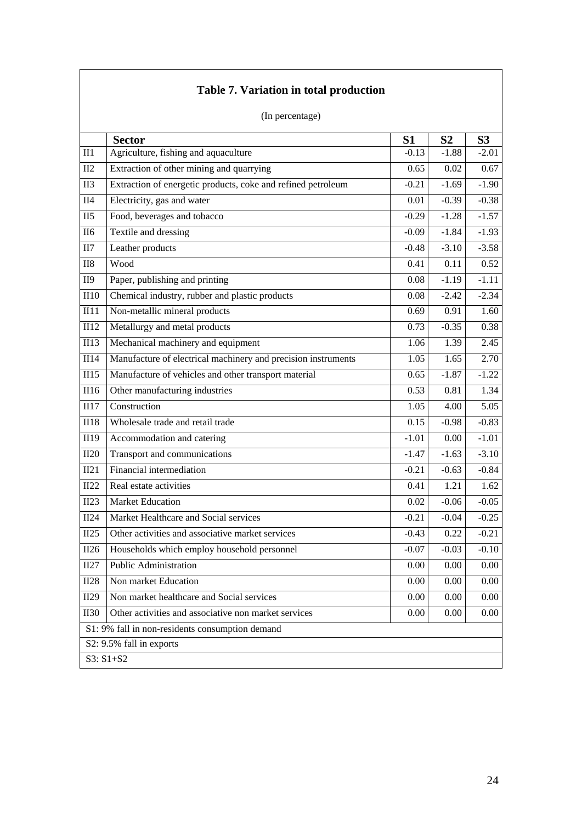|                 | (In percentage)                                               |                |                |                |
|-----------------|---------------------------------------------------------------|----------------|----------------|----------------|
|                 | <b>Sector</b>                                                 | S <sub>1</sub> | S <sub>2</sub> | S <sub>3</sub> |
| II1             | Agriculture, fishing and aquaculture                          | $-0.13$        | $-1.88$        | $-2.01$        |
| II2             | Extraction of other mining and quarrying                      | 0.65           | 0.02           | 0.67           |
| II <sub>3</sub> | Extraction of energetic products, coke and refined petroleum  | $-0.21$        | $-1.69$        | $-1.90$        |
| II4             | Electricity, gas and water                                    | 0.01           | $-0.39$        | $-0.38$        |
| II <sub>5</sub> | Food, beverages and tobacco                                   | $-0.29$        | $-1.28$        | $-1.57$        |
| <b>II6</b>      | Textile and dressing                                          | $-0.09$        | $-1.84$        | $-1.93$        |
| II7             | Leather products                                              | $-0.48$        | $-3.10$        | $-3.58$        |
| <b>II8</b>      | Wood                                                          | 0.41           | 0.11           | 0.52           |
| <b>II9</b>      | Paper, publishing and printing                                | 0.08           | $-1.19$        | $-1.11$        |
| II10            | Chemical industry, rubber and plastic products                | 0.08           | $-2.42$        | $-2.34$        |
| III11           | Non-metallic mineral products                                 | 0.69           | 0.91           | 1.60           |
| II12            | Metallurgy and metal products                                 | 0.73           | $-0.35$        | 0.38           |
| <b>II13</b>     | Mechanical machinery and equipment                            | 1.06           | 1.39           | 2.45           |
| II14            | Manufacture of electrical machinery and precision instruments | 1.05           | 1.65           | 2.70           |
| II15            | Manufacture of vehicles and other transport material          | 0.65           | $-1.87$        | $-1.22$        |
| II16            | Other manufacturing industries                                | 0.53           | 0.81           | 1.34           |
| II17            | Construction                                                  | 1.05           | 4.00           | 5.05           |
| <b>II18</b>     | Wholesale trade and retail trade                              | 0.15           | $-0.98$        | $-0.83$        |
| II19            | Accommodation and catering                                    | $-1.01$        | 0.00           | $-1.01$        |
| II20            | Transport and communications                                  | $-1.47$        | $-1.63$        | $-3.10$        |
| II21            | Financial intermediation                                      | $-0.21$        | $-0.63$        | $-0.84$        |
| II22            | Real estate activities                                        | 0.41           | 1.21           | 1.62           |
| II23            | <b>Market Education</b>                                       | 0.02           | $-0.06$        | $-0.05$        |
| II24            | Market Healthcare and Social services                         | $-0.21$        | $-0.04$        | $-0.25$        |
| II25            | Other activities and associative market services              | $-0.43$        | 0.22           | $-0.21$        |
| II26            | Households which employ household personnel                   | $-0.07$        | $-0.03$        | $-0.10$        |
| II27            | Public Administration                                         | 0.00           | 0.00           | 0.00           |
| II28            | Non market Education                                          | 0.00           | 0.00           | 0.00           |
| II29            | Non market healthcare and Social services                     | 0.00           | 0.00           | 0.00           |
| <b>II30</b>     | Other activities and associative non market services          | 0.00           | 0.00           | 0.00           |
|                 | S1: 9% fall in non-residents consumption demand               |                |                |                |
|                 | S2: 9.5% fall in exports                                      |                |                |                |
|                 | $S3: S1 + S2$                                                 |                |                |                |

# **Table 7. Variation in total production**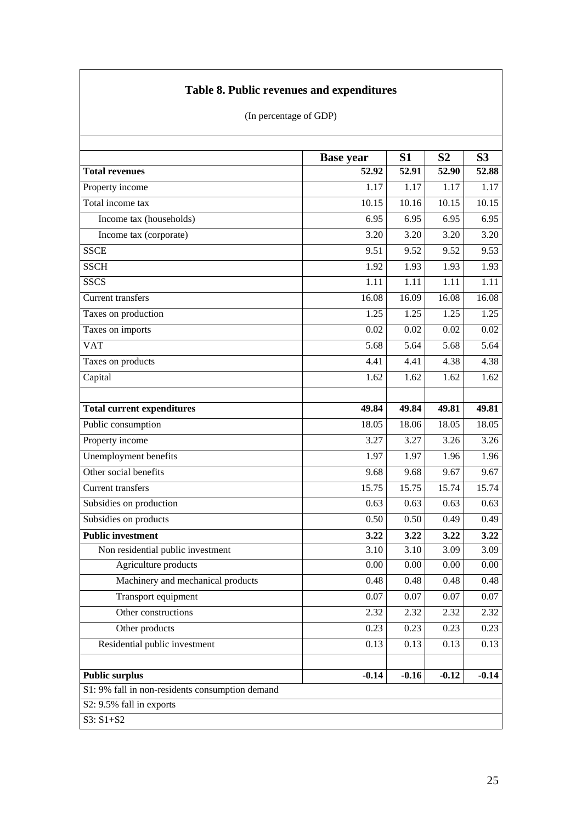# **Table 8. Public revenues and expenditures**

|  | (In percentage of GDP) |  |
|--|------------------------|--|
|--|------------------------|--|

|                                                 | <b>Base year</b> | S <sub>1</sub> | S <sub>2</sub> | S <sub>3</sub> |
|-------------------------------------------------|------------------|----------------|----------------|----------------|
| <b>Total revenues</b>                           | 52.92            | 52.91          | 52.90          | 52.88          |
| Property income                                 | 1.17             | 1.17           | 1.17           | 1.17           |
| Total income tax                                | 10.15            | 10.16          | 10.15          | 10.15          |
| Income tax (households)                         | 6.95             | 6.95           | 6.95           | 6.95           |
| Income tax (corporate)                          | 3.20             | 3.20           | 3.20           | 3.20           |
| <b>SSCE</b>                                     | 9.51             | 9.52           | 9.52           | 9.53           |
| <b>SSCH</b>                                     | 1.92             | 1.93           | 1.93           | 1.93           |
| <b>SSCS</b>                                     | 1.11             | 1.11           | 1.11           | 1.11           |
| Current transfers                               | 16.08            | 16.09          | 16.08          | 16.08          |
| Taxes on production                             | 1.25             | 1.25           | 1.25           | 1.25           |
| Taxes on imports                                | 0.02             | 0.02           | 0.02           | 0.02           |
| <b>VAT</b>                                      | 5.68             | 5.64           | 5.68           | 5.64           |
| Taxes on products                               | 4.41             | 4.41           | 4.38           | 4.38           |
| Capital                                         | 1.62             | 1.62           | 1.62           | 1.62           |
|                                                 |                  |                |                |                |
| <b>Total current expenditures</b>               | 49.84            | 49.84          | 49.81          | 49.81          |
| Public consumption                              | 18.05            | 18.06          | 18.05          | 18.05          |
| Property income                                 | 3.27             | 3.27           | 3.26           | 3.26           |
| Unemployment benefits                           | 1.97             | 1.97           | 1.96           | 1.96           |
| Other social benefits                           | 9.68             | 9.68           | 9.67           | 9.67           |
| <b>Current transfers</b>                        | 15.75            | 15.75          | 15.74          | 15.74          |
| Subsidies on production                         | 0.63             | 0.63           | 0.63           | 0.63           |
| Subsidies on products                           | 0.50             | 0.50           | 0.49           | 0.49           |
| <b>Public investment</b>                        | 3.22             | 3.22           | 3.22           | 3.22           |
| Non residential public investment               | 3.10             | 3.10           | 3.09           | 3.09           |
| Agriculture products                            | 0.00             | 0.00           | 0.00           | 0.00           |
| Machinery and mechanical products               | 0.48             | 0.48           | 0.48           | 0.48           |
| Transport equipment                             | $0.07\,$         | 0.07           | $0.07\,$       | 0.07           |
| Other constructions                             | 2.32             | 2.32           | 2.32           | 2.32           |
| Other products                                  | 0.23             | 0.23           | 0.23           | 0.23           |
| Residential public investment                   | 0.13             | 0.13           | 0.13           | 0.13           |
|                                                 |                  |                |                |                |
| <b>Public surplus</b>                           | $-0.14$          | $-0.16$        | $-0.12$        | $-0.14$        |
| S1: 9% fall in non-residents consumption demand |                  |                |                |                |
| S2: 9.5% fall in exports                        |                  |                |                |                |
| S3: S1+S2                                       |                  |                |                |                |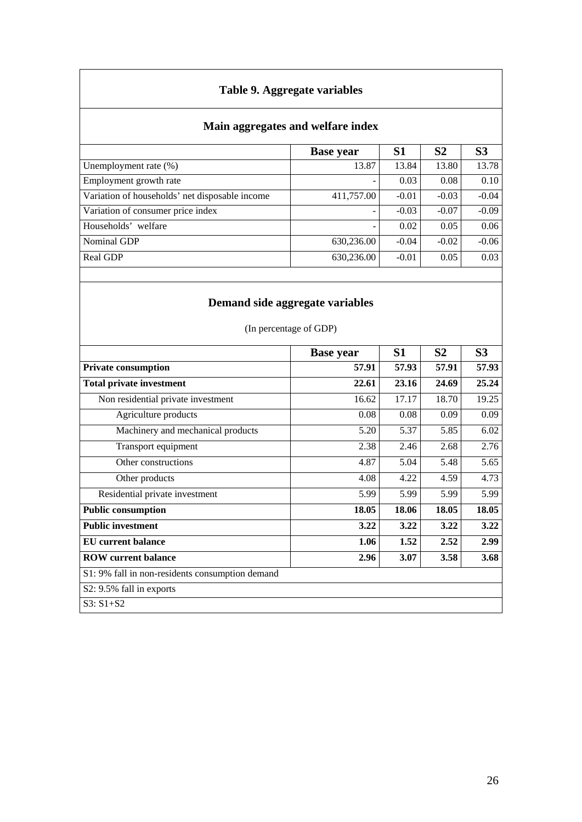# **Table 9. Aggregate variables**

# **Main aggregates and welfare index**

|                                                | <b>Base year</b> | S <sub>1</sub> | S <sub>2</sub> | S <sub>3</sub> |
|------------------------------------------------|------------------|----------------|----------------|----------------|
| Unemployment rate $(\%)$                       | 13.87            | 13.84          | 13.80          | 13.78          |
| Employment growth rate                         |                  | 0.03           | 0.08           | 0.10           |
| Variation of households' net disposable income | 411,757.00       | $-0.01$        | $-0.03$        | $-0.04$        |
| Variation of consumer price index              |                  | $-0.03$        | $-0.07$        | $-0.09$        |
| Households' welfare                            |                  | 0.02           | 0.05           | 0.06           |
| Nominal GDP                                    | 630,236.00       | $-0.04$        | $-0.02$        | $-0.06$        |
| Real GDP                                       | 630,236.00       | $-0.01$        | 0.05           | 0.03           |

# **Demand side aggregate variables**

(In percentage of GDP)

|                                                 | <b>Base year</b> | S <sub>1</sub> | S <sub>2</sub> | S <sub>3</sub> |
|-------------------------------------------------|------------------|----------------|----------------|----------------|
| <b>Private consumption</b>                      | 57.91            | 57.93          | 57.91          | 57.93          |
| <b>Total private investment</b>                 | 22.61            | 23.16          | 24.69          | 25.24          |
| Non residential private investment              | 16.62            | 17.17          | 18.70          | 19.25          |
| Agriculture products                            | 0.08             | 0.08           | 0.09           | 0.09           |
| Machinery and mechanical products               | 5.20             | 5.37           | 5.85           | 6.02           |
| Transport equipment                             | 2.38             | 2.46           | 2.68           | 2.76           |
| Other constructions                             | 4.87             | 5.04           | 5.48           | 5.65           |
| Other products                                  | 4.08             | 4.22           | 4.59           | 4.73           |
| Residential private investment                  | 5.99             | 5.99           | 5.99           | 5.99           |
| <b>Public consumption</b>                       | 18.05            | 18.06          | 18.05          | 18.05          |
| <b>Public investment</b>                        | 3.22             | 3.22           | 3.22           | 3.22           |
| <b>EU</b> current balance                       | 1.06             | 1.52           | 2.52           | 2.99           |
| <b>ROW</b> current balance                      | 2.96             | 3.07           | 3.58           | 3.68           |
| S1: 9% fall in non-residents consumption demand |                  |                |                |                |
| S2: 9.5% fall in exports                        |                  |                |                |                |
| $S3: S1 + S2$                                   |                  |                |                |                |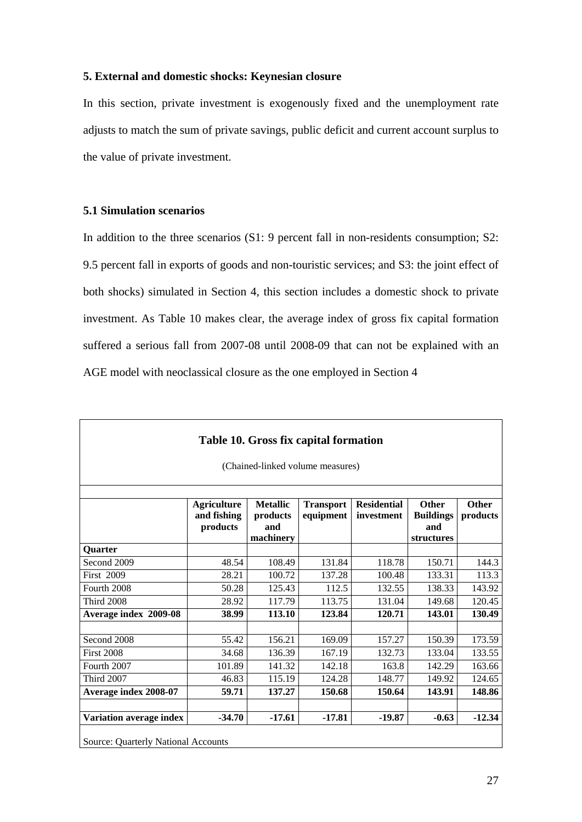### **5. External and domestic shocks: Keynesian closure**

In this section, private investment is exogenously fixed and the unemployment rate adjusts to match the sum of private savings, public deficit and current account surplus to the value of private investment.

### **5.1 Simulation scenarios**

In addition to the three scenarios (S1: 9 percent fall in non-residents consumption; S2: 9.5 percent fall in exports of goods and non-touristic services; and S3: the joint effect of both shocks) simulated in Section 4, this section includes a domestic shock to private investment. As Table 10 makes clear, the average index of gross fix capital formation suffered a serious fall from 2007-08 until 2008-09 that can not be explained with an AGE model with neoclassical closure as the one employed in Section 4

| (Chained-linked volume measures) |                                               |                                                 |                               |                                  |                                                |                   |  |
|----------------------------------|-----------------------------------------------|-------------------------------------------------|-------------------------------|----------------------------------|------------------------------------------------|-------------------|--|
|                                  | <b>Agriculture</b><br>and fishing<br>products | <b>Metallic</b><br>products<br>and<br>machinery | <b>Transport</b><br>equipment | <b>Residential</b><br>investment | Other<br><b>Buildings</b><br>and<br>structures | Other<br>products |  |
| Quarter                          |                                               |                                                 |                               |                                  |                                                |                   |  |
| Second 2009                      | 48.54                                         | 108.49                                          | 131.84                        | 118.78                           | 150.71                                         | 144.3             |  |
| <b>First 2009</b>                | 28.21                                         | 100.72                                          | 137.28                        | 100.48                           | 133.31                                         | 113.3             |  |
| Fourth 2008                      | 50.28                                         | 125.43                                          | 112.5                         | 132.55                           | 138.33                                         | 143.92            |  |
| <b>Third 2008</b>                | 28.92                                         | 117.79                                          | 113.75                        | 131.04                           | 149.68                                         | 120.45            |  |
| Average index 2009-08            | 38.99                                         | 113.10                                          | 123.84                        | 120.71                           | 143.01                                         | 130.49            |  |
| Second 2008                      | 55.42                                         | 156.21                                          | 169.09                        | 157.27                           | 150.39                                         | 173.59            |  |
| <b>First 2008</b>                | 34.68                                         | 136.39                                          | 167.19                        | 132.73                           | 133.04                                         | 133.55            |  |
| Fourth 2007                      | 101.89                                        | 141.32                                          | 142.18                        | 163.8                            | 142.29                                         | 163.66            |  |
| <b>Third 2007</b>                | 46.83                                         | 115.19                                          | 124.28                        | 148.77                           | 149.92                                         | 124.65            |  |
| Average index 2008-07            | 59.71                                         | 137.27                                          | 150.68                        | 150.64                           | 143.91                                         | 148.86            |  |
| Variation average index          | $-34.70$                                      | $-17.61$                                        | $-17.81$                      | $-19.87$                         | $-0.63$                                        | $-12.34$          |  |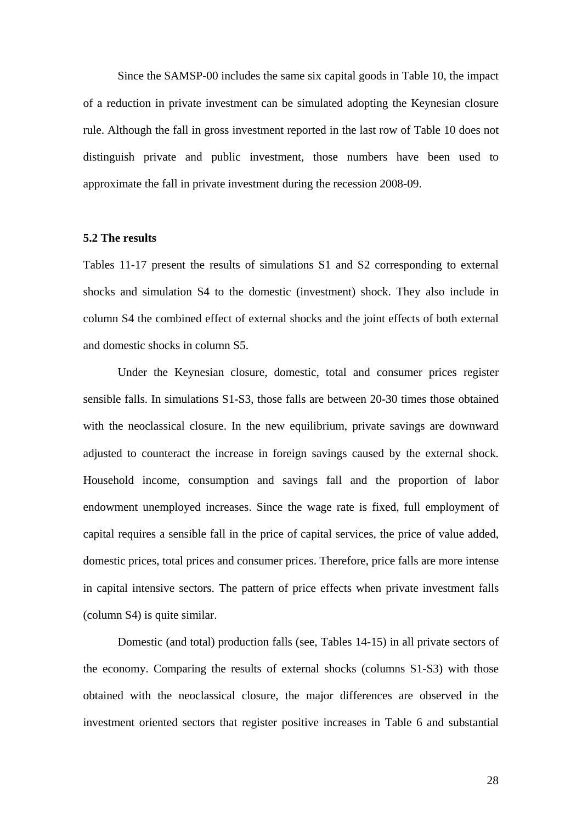Since the SAMSP-00 includes the same six capital goods in Table 10, the impact of a reduction in private investment can be simulated adopting the Keynesian closure rule. Although the fall in gross investment reported in the last row of Table 10 does not distinguish private and public investment, those numbers have been used to approximate the fall in private investment during the recession 2008-09.

### **5.2 The results**

Tables 11-17 present the results of simulations S1 and S2 corresponding to external shocks and simulation S4 to the domestic (investment) shock. They also include in column S4 the combined effect of external shocks and the joint effects of both external and domestic shocks in column S5.

Under the Keynesian closure, domestic, total and consumer prices register sensible falls. In simulations S1-S3, those falls are between 20-30 times those obtained with the neoclassical closure. In the new equilibrium, private savings are downward adjusted to counteract the increase in foreign savings caused by the external shock. Household income, consumption and savings fall and the proportion of labor endowment unemployed increases. Since the wage rate is fixed, full employment of capital requires a sensible fall in the price of capital services, the price of value added, domestic prices, total prices and consumer prices. Therefore, price falls are more intense in capital intensive sectors. The pattern of price effects when private investment falls (column S4) is quite similar.

Domestic (and total) production falls (see, Tables 14-15) in all private sectors of the economy. Comparing the results of external shocks (columns S1-S3) with those obtained with the neoclassical closure, the major differences are observed in the investment oriented sectors that register positive increases in Table 6 and substantial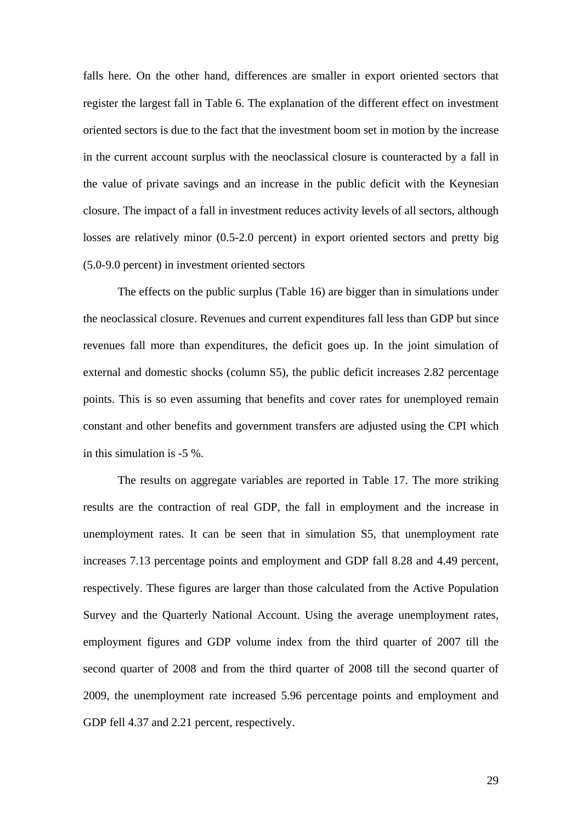falls here. On the other hand, differences are smaller in export oriented sectors that register the largest fall in Table 6. The explanation of the different effect on investment oriented sectors is due to the fact that the investment boom set in motion by the increase in the current account surplus with the neoclassical closure is counteracted by a fall in the value of private savings and an increase in the public deficit with the Keynesian closure. The impact of a fall in investment reduces activity levels of all sectors, although losses are relatively minor (0.5-2.0 percent) in export oriented sectors and pretty big (5.0-9.0 percent) in investment oriented sectors

 The effects on the public surplus (Table 16) are bigger than in simulations under the neoclassical closure. Revenues and current expenditures fall less than GDP but since revenues fall more than expenditures, the deficit goes up. In the joint simulation of external and domestic shocks (column S5), the public deficit increases 2.82 percentage points. This is so even assuming that benefits and cover rates for unemployed remain constant and other benefits and government transfers are adjusted using the CPI which in this simulation is -5 %.

 The results on aggregate variables are reported in Table 17. The more striking results are the contraction of real GDP, the fall in employment and the increase in unemployment rates. It can be seen that in simulation S5, that unemployment rate increases 7.13 percentage points and employment and GDP fall 8.28 and 4.49 percent, respectively. These figures are larger than those calculated from the Active Population Survey and the Quarterly National Account. Using the average unemployment rates, employment figures and GDP volume index from the third quarter of 2007 till the second quarter of 2008 and from the third quarter of 2008 till the second quarter of 2009, the unemployment rate increased 5.96 percentage points and employment and GDP fell 4.37 and 2.21 percent, respectively.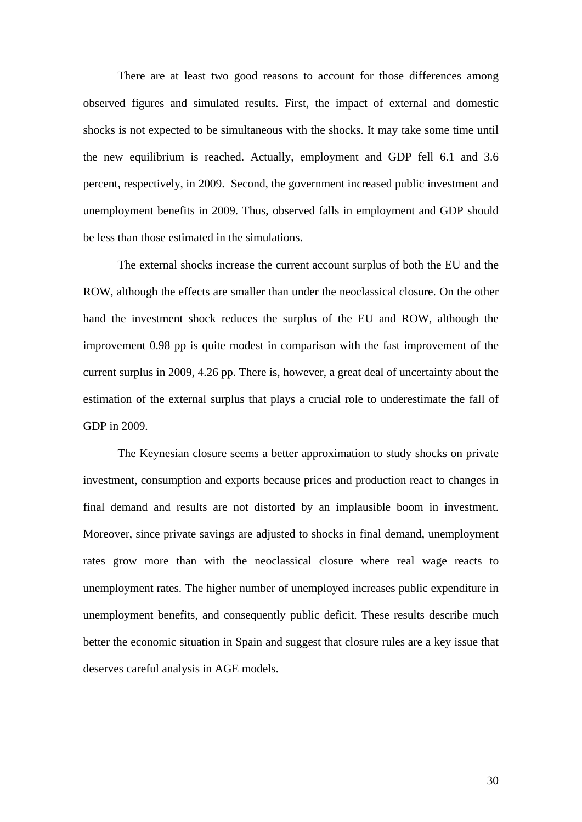There are at least two good reasons to account for those differences among observed figures and simulated results. First, the impact of external and domestic shocks is not expected to be simultaneous with the shocks. It may take some time until the new equilibrium is reached. Actually, employment and GDP fell 6.1 and 3.6 percent, respectively, in 2009. Second, the government increased public investment and unemployment benefits in 2009. Thus, observed falls in employment and GDP should be less than those estimated in the simulations.

 The external shocks increase the current account surplus of both the EU and the ROW, although the effects are smaller than under the neoclassical closure. On the other hand the investment shock reduces the surplus of the EU and ROW, although the improvement 0.98 pp is quite modest in comparison with the fast improvement of the current surplus in 2009, 4.26 pp. There is, however, a great deal of uncertainty about the estimation of the external surplus that plays a crucial role to underestimate the fall of GDP in 2009.

 The Keynesian closure seems a better approximation to study shocks on private investment, consumption and exports because prices and production react to changes in final demand and results are not distorted by an implausible boom in investment. Moreover, since private savings are adjusted to shocks in final demand, unemployment rates grow more than with the neoclassical closure where real wage reacts to unemployment rates. The higher number of unemployed increases public expenditure in unemployment benefits, and consequently public deficit. These results describe much better the economic situation in Spain and suggest that closure rules are a key issue that deserves careful analysis in AGE models.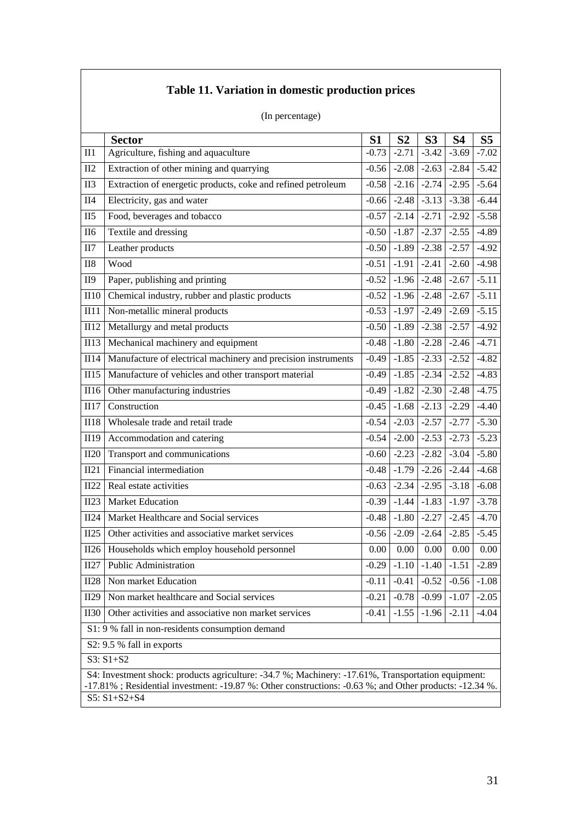| (In percentage) |                                                                                                                                                                                                           |         |                |                    |           |                |  |
|-----------------|-----------------------------------------------------------------------------------------------------------------------------------------------------------------------------------------------------------|---------|----------------|--------------------|-----------|----------------|--|
|                 | <b>Sector</b>                                                                                                                                                                                             | S1      | S <sub>2</sub> | S <sub>3</sub>     | <b>S4</b> | S <sub>5</sub> |  |
| $II1$           | Agriculture, fishing and aquaculture                                                                                                                                                                      | $-0.73$ | $-2.71$        | $-3.42$            | $-3.69$   | $-7.02$        |  |
| II2             | Extraction of other mining and quarrying                                                                                                                                                                  | $-0.56$ | $-2.08$        | $-2.63$            | $-2.84$   | $-5.42$        |  |
| II <sub>3</sub> | Extraction of energetic products, coke and refined petroleum                                                                                                                                              | $-0.58$ | $-2.16$        | $-2.74$            | $-2.95$   | $-5.64$        |  |
| II4             | Electricity, gas and water                                                                                                                                                                                | $-0.66$ | $-2.48$        | $\overline{-3.13}$ | $-3.38$   | $-6.44$        |  |
| II5             | Food, beverages and tobacco                                                                                                                                                                               | $-0.57$ | $-2.14$        | $-2.71$            | $-2.92$   | $-5.58$        |  |
| <b>II6</b>      | Textile and dressing                                                                                                                                                                                      | $-0.50$ | $-1.87$        | $-2.37$            | $-2.55$   | $-4.89$        |  |
| II7             | Leather products                                                                                                                                                                                          | $-0.50$ | $-1.89$        | $-2.38$            | $-2.57$   | $-4.92$        |  |
| II8             | Wood                                                                                                                                                                                                      | $-0.51$ | $-1.91$        | $-2.41$            | $-2.60$   | $-4.98$        |  |
| II9             | Paper, publishing and printing                                                                                                                                                                            | $-0.52$ | $-1.96$        | $-2.48$            | $-2.67$   | $-5.11$        |  |
| II10            | Chemical industry, rubber and plastic products                                                                                                                                                            | $-0.52$ | $-1.96$        | $-2.48$            | $-2.67$   | $-5.11$        |  |
| II11            | Non-metallic mineral products                                                                                                                                                                             | $-0.53$ | $-1.97$        | $-2.49$            | $-2.69$   | $-5.15$        |  |
| II12            | Metallurgy and metal products                                                                                                                                                                             | $-0.50$ | $-1.89$        | $-2.38$            | $-2.57$   | $-4.92$        |  |
| III3            | Mechanical machinery and equipment                                                                                                                                                                        | $-0.48$ | $-1.80$        | $-2.28$            | $-2.46$   | $-4.71$        |  |
| II14            | Manufacture of electrical machinery and precision instruments                                                                                                                                             | $-0.49$ | $-1.85$        | $-2.33$            | $-2.52$   | $-4.82$        |  |
| II15            | Manufacture of vehicles and other transport material                                                                                                                                                      | $-0.49$ | $-1.85$        | $-2.34$            | $-2.52$   | $-4.83$        |  |
| II16            | Other manufacturing industries                                                                                                                                                                            | $-0.49$ | $-1.82$        | $-2.30$ $-2.48$    |           | $-4.75$        |  |
| II17            | Construction                                                                                                                                                                                              | $-0.45$ | $-1.68$        | $-2.13$            | $-2.29$   | $-4.40$        |  |
| II18            | Wholesale trade and retail trade                                                                                                                                                                          | $-0.54$ | $-2.03$        | $-2.57$            | $-2.77$   | $-5.30$        |  |
| II19            | Accommodation and catering                                                                                                                                                                                | $-0.54$ | $-2.00$        | $-2.53$            | $-2.73$   | $-5.23$        |  |
| II20            | Transport and communications                                                                                                                                                                              | $-0.60$ | $-2.23$        | $-2.82$            | $-3.04$   | $-5.80$        |  |
| II21            | Financial intermediation                                                                                                                                                                                  | $-0.48$ | $-1.79$        | $-2.26$ $-2.44$    |           | $-4.68$        |  |
| II22            | Real estate activities                                                                                                                                                                                    | $-0.63$ | $-2.34$        | $-2.95$            | $-3.18$   | $-6.08$        |  |
| II23            | <b>Market Education</b>                                                                                                                                                                                   | $-0.39$ | $-1.44$        | $-1.83$            | $-1.97$   | $-3.78$        |  |
| II24            | Market Healthcare and Social services                                                                                                                                                                     | $-0.48$ | $-1.80$        | $-2.27$            | $-2.45$   | $-4.70$        |  |
| II25            | Other activities and associative market services                                                                                                                                                          | $-0.56$ | $-2.09$        | $-2.64$            | $-2.85$   | $-5.45$        |  |
| II26            | Households which employ household personnel                                                                                                                                                               | 0.00    | 0.00           | 0.00               | 0.00      | 0.00           |  |
| II27            | Public Administration                                                                                                                                                                                     | $-0.29$ | $-1.10$        | $-1.40$            | $-1.51$   | $-2.89$        |  |
| II28            | Non market Education                                                                                                                                                                                      | $-0.11$ | $-0.41$        | $-0.52$            | $-0.56$   | $-1.08$        |  |
| II29            | Non market healthcare and Social services                                                                                                                                                                 | $-0.21$ | $-0.78$        | $-0.99$            | $-1.07$   | $-2.05$        |  |
| <b>II30</b>     | Other activities and associative non market services<br>$-1.55$<br>$-2.11$<br>$-0.41$<br>$-1.96$                                                                                                          |         |                |                    |           | $-4.04$        |  |
|                 | S1: 9 % fall in non-residents consumption demand                                                                                                                                                          |         |                |                    |           |                |  |
|                 | S2: 9.5 % fall in exports                                                                                                                                                                                 |         |                |                    |           |                |  |
|                 | $S3: S1 + S2$                                                                                                                                                                                             |         |                |                    |           |                |  |
|                 | S4: Investment shock: products agriculture: -34.7 %; Machinery: -17.61%, Transportation equipment:<br>-17.81%; Residential investment: -19.87%: Other constructions: -0.63%; and Other products: -12.34%. |         |                |                    |           |                |  |

**Table 11. Variation in domestic production prices** 

#### S5: S1+S2+S4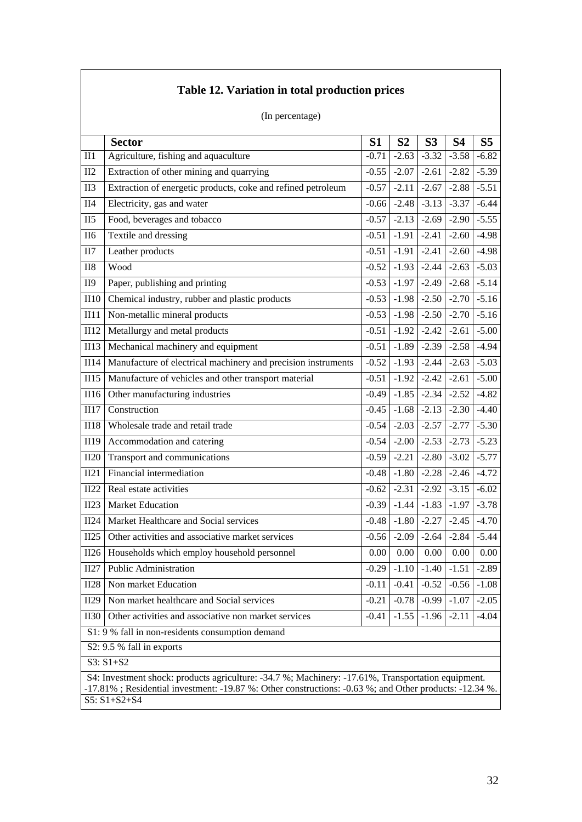# **Table 12. Variation in total production prices**

(In percentage)

|                 | <b>Sector</b>                                                                                                                                                                                                                      | S <sub>1</sub> | S <sub>2</sub> | S <sub>3</sub>          | <b>S4</b>                                       | S <sub>5</sub>  |  |
|-----------------|------------------------------------------------------------------------------------------------------------------------------------------------------------------------------------------------------------------------------------|----------------|----------------|-------------------------|-------------------------------------------------|-----------------|--|
| $II1$           | Agriculture, fishing and aquaculture                                                                                                                                                                                               | $-0.71$        | $-2.63$        | $-3.32$                 | $-3.58$                                         | $-6.82$         |  |
| II2             | Extraction of other mining and quarrying                                                                                                                                                                                           | $-0.55$        | $-2.07$        | $-2.61$                 | $-2.82$                                         | $-5.39$         |  |
| II <sub>3</sub> | Extraction of energetic products, coke and refined petroleum                                                                                                                                                                       | $-0.57$        | $-2.11$        | $-2.67$                 | $-2.88$                                         | $-5.51$         |  |
| II4             | Electricity, gas and water                                                                                                                                                                                                         | $-0.66$        |                | $-2.48$ $-3.13$         | $-3.37$                                         | $-6.44$         |  |
| II5             | Food, beverages and tobacco                                                                                                                                                                                                        | $-0.57$        | $-2.13$        | $-2.69$                 | $-2.90$                                         | $-5.55$         |  |
| II <sub>6</sub> | Textile and dressing                                                                                                                                                                                                               | $-0.51$        | $-1.91$        | $-2.41$                 | $-2.60$                                         | $-4.98$         |  |
| II7             | Leather products                                                                                                                                                                                                                   | $-0.51$        | $-1.91$        | $-2.41$                 | $-2.60$                                         | $-4.98$         |  |
| $II8$           | Wood                                                                                                                                                                                                                               | $-0.52$        |                | $-1.93$ $-2.44$         | $-2.63$                                         | $-5.03$         |  |
| <b>II9</b>      | Paper, publishing and printing                                                                                                                                                                                                     | $-0.53$        |                | $-1.97$ $-2.49$         |                                                 | $-2.68 - 5.14$  |  |
| II10            | Chemical industry, rubber and plastic products                                                                                                                                                                                     | $-0.53$        | $-1.98$        | $-2.50$                 | $-2.70$                                         | $-5.16$         |  |
| II11            | Non-metallic mineral products                                                                                                                                                                                                      | $-0.53$        |                | $-1.98$ $-2.50$ $-2.70$ |                                                 | $-5.16$         |  |
| II12            | Metallurgy and metal products                                                                                                                                                                                                      | $-0.51$        | $-1.92$        | $-2.42$                 | $-2.61$                                         | $-5.00$         |  |
| III3            | Mechanical machinery and equipment                                                                                                                                                                                                 | $-0.51$        |                | $-1.89$ $-2.39$         | $-2.58$                                         | $-4.94$         |  |
| II14            | Manufacture of electrical machinery and precision instruments                                                                                                                                                                      | $-0.52$        |                | $-1.93$ $-2.44$         | $-2.63$                                         | $-5.03$         |  |
| II15            | Manufacture of vehicles and other transport material                                                                                                                                                                               | $-0.51$        | $-1.92$        | $-2.42$                 | $-2.61$                                         | $-5.00$         |  |
| II16            | Other manufacturing industries                                                                                                                                                                                                     | $-0.49$        |                | $-1.85$ $-2.34$ $-2.52$ |                                                 | $-4.82$         |  |
| II17            | Construction                                                                                                                                                                                                                       | $-0.45$        | $-1.68$        | $-2.13$                 | $-2.30$                                         | $-4.40$         |  |
| <b>II18</b>     | Wholesale trade and retail trade                                                                                                                                                                                                   | $-0.54$        |                | $-2.03$ $-2.57$         | $-2.77$                                         | $-5.30$         |  |
| II19            | Accommodation and catering                                                                                                                                                                                                         | $-0.54$        | $-2.00$        | $-2.53$                 | $-2.73$                                         | $-5.23$         |  |
| II20            | Transport and communications                                                                                                                                                                                                       | $-0.59$        | $-2.21$        | $-2.80$                 | $-3.02$                                         | $-5.77$         |  |
| II21            | Financial intermediation                                                                                                                                                                                                           | $-0.48$        |                | $-1.80$ $-2.28$         | $-2.46$ $-4.72$                                 |                 |  |
| II22            | Real estate activities                                                                                                                                                                                                             | $-0.62$        | $-2.31$        | $-2.92$                 | $-3.15$                                         | $-6.02$         |  |
| II23            | Market Education                                                                                                                                                                                                                   | $-0.39$        | $-1.44$        | $-1.83$                 | $-1.97$                                         | $-3.78$         |  |
| II24            | Market Healthcare and Social services                                                                                                                                                                                              | $-0.48$        | $-1.80$        | $-2.27$                 | $-2.45$                                         | $-4.70$         |  |
| II25            | Other activities and associative market services                                                                                                                                                                                   | $-0.56$        |                | $-2.09$ $-2.64$         | $-2.84$                                         | $-5.44$         |  |
| II26            | Households which employ household personnel                                                                                                                                                                                        | 0.00           | 0.00           | 0.00                    | 0.00                                            | 0.00            |  |
| II27            | <b>Public Administration</b>                                                                                                                                                                                                       |                |                |                         | $-0.29$   $-1.10$   $-1.40$   $-1.51$   $-2.89$ |                 |  |
| II28            | Non market Education                                                                                                                                                                                                               | $-0.11$        | $-0.41$        | $-0.52$                 |                                                 | $-0.56$ $-1.08$ |  |
| II29            | Non market healthcare and Social services                                                                                                                                                                                          | $-0.21$        | $-0.78$        | $-0.99$                 | $-1.07$                                         | $-2.05$         |  |
| <b>II30</b>     | Other activities and associative non market services                                                                                                                                                                               | $-0.41$        | $-1.55$        | $-1.96$                 | $-2.11$                                         | $-4.04$         |  |
|                 | S1: 9 % fall in non-residents consumption demand                                                                                                                                                                                   |                |                |                         |                                                 |                 |  |
|                 | S2: 9.5 % fall in exports                                                                                                                                                                                                          |                |                |                         |                                                 |                 |  |
|                 | $S3: S1 + S2$                                                                                                                                                                                                                      |                |                |                         |                                                 |                 |  |
|                 | S4: Investment shock: products agriculture: -34.7 %; Machinery: -17.61%, Transportation equipment.<br>-17.81%; Residential investment: -19.87 %: Other constructions: -0.63 %; and Other products: -12.34 %.<br>$S5: S1 + S2 + S4$ |                |                |                         |                                                 |                 |  |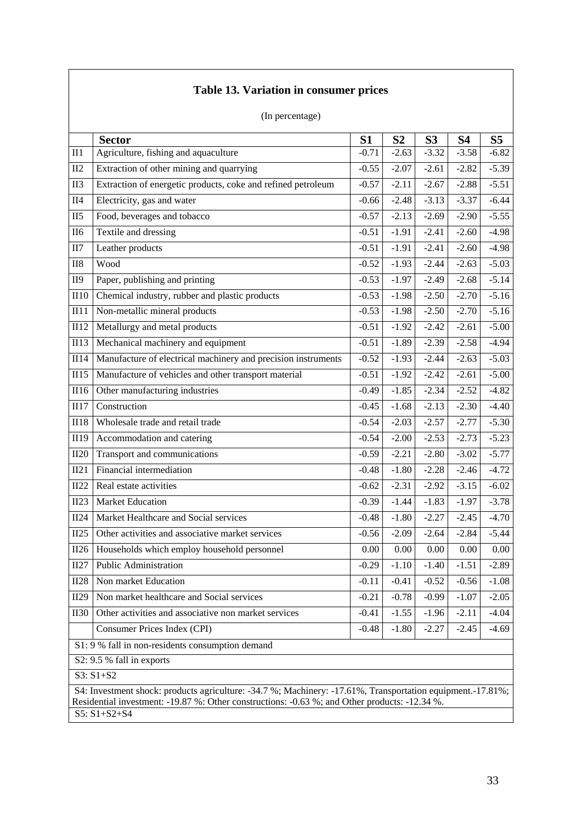| (In percentage)                                                                                               |           |                   |                |           |                |
|---------------------------------------------------------------------------------------------------------------|-----------|-------------------|----------------|-----------|----------------|
| <b>Sector</b>                                                                                                 | <b>S1</b> | S <sub>2</sub>    | S <sub>3</sub> | <b>S4</b> | S <sub>5</sub> |
| Agriculture, fishing and aquaculture<br>II1                                                                   | $-0.71$   | $-2.63$           | $-3.32$        | $-3.58$   | $-6.82$        |
| II2<br>Extraction of other mining and quarrying                                                               | $-0.55$   | $-2.07$           | $-2.61$        | $-2.82$   | $-5.39$        |
| Extraction of energetic products, coke and refined petroleum<br>II <sub>3</sub>                               | $-0.57$   | $-2.11$           | $-2.67$        | $-2.88$   | $-5.51$        |
| II4<br>Electricity, gas and water                                                                             | $-0.66$   | $-2.48$           | $-3.13$        | $-3.37$   | $-6.44$        |
| II5<br>Food, beverages and tobacco                                                                            | $-0.57$   | $-2.13$           | $-2.69$        | $-2.90$   | $-5.55$        |
| Textile and dressing<br><b>II6</b>                                                                            | $-0.51$   | $-1.91$           | $-2.41$        | $-2.60$   | $-4.98$        |
| II7<br>Leather products                                                                                       | $-0.51$   | $-1.91$           | $-2.41$        | $-2.60$   | $-4.98$        |
| $II8$<br>Wood                                                                                                 | $-0.52$   | $-1.93$           | $-2.44$        | $-2.63$   | $-5.03$        |
| Paper, publishing and printing<br><b>II9</b>                                                                  | $-0.53$   | $-1.97$           | $-2.49$        | $-2.68$   | $-5.14$        |
| Chemical industry, rubber and plastic products<br>II10                                                        | $-0.53$   | $-1.98$           | $-2.50$        | $-2.70$   | $-5.16$        |
| Non-metallic mineral products<br>II11                                                                         | $-0.53$   | $-1.98$           | $-2.50$        | $-2.70$   | $-5.16$        |
| II12<br>Metallurgy and metal products                                                                         | $-0.51$   | $-1.92$           | $-2.42$        | $-2.61$   | $-5.00$        |
| II13<br>Mechanical machinery and equipment                                                                    | $-0.51$   | $-1.89$           | $-2.39$        | $-2.58$   | $-4.94$        |
| II14<br>Manufacture of electrical machinery and precision instruments                                         | $-0.52$   | $-1.93$           | $-2.44$        | $-2.63$   | $-5.03$        |
| Manufacture of vehicles and other transport material<br>II15                                                  | $-0.51$   | $-1.92$           | $-2.42$        | $-2.61$   | $-5.00$        |
| II16<br>Other manufacturing industries                                                                        | $-0.49$   | $-1.85$           | $-2.34$        | $-2.52$   | $-4.82$        |
| II17<br>Construction                                                                                          | $-0.45$   | $-1.68$           | $-2.13$        | $-2.30$   | $-4.40$        |
| Wholesale trade and retail trade<br><b>II18</b>                                                               | $-0.54$   | $-2.03$           | $-2.57$        | $-2.77$   | $-5.30$        |
| II19<br>Accommodation and catering                                                                            | $-0.54$   | $-2.00$           | $-2.53$        | $-2.73$   | $-5.23$        |
| II20<br>Transport and communications                                                                          | $-0.59$   | $-2.21$           | $-2.80$        | $-3.02$   | $-5.77$        |
| II21<br>Financial intermediation                                                                              | $-0.48$   | $-1.80$           | $-2.28$        | $-2.46$   | $-4.72$        |
| II22<br>Real estate activities                                                                                | $-0.62$   | $-2.31$           | $-2.92$        | $-3.15$   | $-6.02$        |
| <b>Market Education</b><br>II23                                                                               | $-0.39$   | $-1.44$           | $-1.83$        | $-1.97$   | $-3.78$        |
| Market Healthcare and Social services<br>II24                                                                 | $-0.48$   | $-1.80$           | $-2.27$        | $-2.45$   | $-4.70$        |
| Other activities and associative market services<br>II25                                                      | $-0.56$   | $-2.09$           | $-2.64$        | $-2.84$   | $-5.44$        |
| $\overline{II26}$<br>Households which employ household personnel                                              | $0.00\,$  | $\overline{0.00}$ | $0.00\,$       | 0.00      | 0.00           |
| <b>Public Administration</b><br>II27                                                                          | $-0.29$   | $-1.10$           | $-1.40$        | $-1.51$   | $-2.89$        |
| II28<br>Non market Education                                                                                  | $-0.11$   | $-0.41$           | $-0.52$        | $-0.56$   | $-1.08$        |
| II29<br>Non market healthcare and Social services                                                             | $-0.21$   | $-0.78$           | $-0.99$        | $-1.07$   | $-2.05$        |
| Other activities and associative non market services<br><b>II30</b>                                           | $-0.41$   | $-1.55$           | $-1.96$        | $-2.11$   | $-4.04$        |
| Consumer Prices Index (CPI)                                                                                   | $-0.48$   | $-1.80$           | $-2.27$        | $-2.45$   | $-4.69$        |
| S1: 9 % fall in non-residents consumption demand                                                              |           |                   |                |           |                |
| S2: 9.5 % fall in exports                                                                                     |           |                   |                |           |                |
| S3: S1+S2                                                                                                     |           |                   |                |           |                |
| S4: Investment shock: products agriculture: -34.7 %; Machinery: -17.61%, Transportation equipment. -17.81%;   |           |                   |                |           |                |
| Residential investment: -19.87 %: Other constructions: -0.63 %; and Other products: -12.34 %.<br>S5: S1+S2+S4 |           |                   |                |           |                |

# **Table 13. Variation in consumer prices**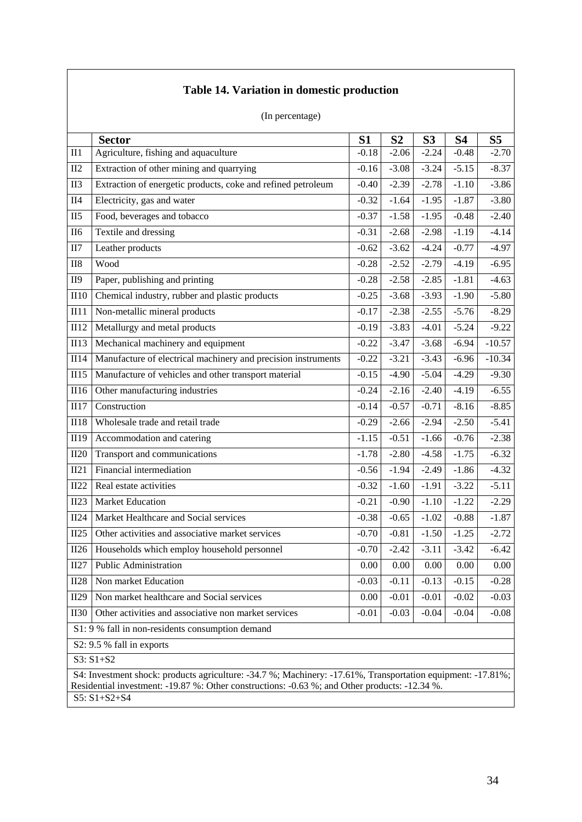|                 | (In percentage)                                                                                                     |                |                |                |           |                    |  |  |
|-----------------|---------------------------------------------------------------------------------------------------------------------|----------------|----------------|----------------|-----------|--------------------|--|--|
|                 | <b>Sector</b>                                                                                                       | S <sub>1</sub> | S <sub>2</sub> | S <sub>3</sub> | <b>S4</b> | S <sub>5</sub>     |  |  |
| II1             | Agriculture, fishing and aquaculture                                                                                | $-0.18$        | $-2.06$        | $-2.24$        | $-0.48$   | $-2.70$            |  |  |
| II2             | Extraction of other mining and quarrying                                                                            | $-0.16$        | $-3.08$        | $-3.24$        | $-5.15$   | $-8.37$            |  |  |
| II <sub>3</sub> | Extraction of energetic products, coke and refined petroleum                                                        | $-0.40$        | $-2.39$        | $-2.78$        | $-1.10$   | $-3.86$            |  |  |
| <b>II4</b>      | Electricity, gas and water                                                                                          | $-0.32$        | $-1.64$        | $-1.95$        | $-1.87$   | $-3.80$            |  |  |
| II5             | Food, beverages and tobacco                                                                                         | $-0.37$        | $-1.58$        | $-1.95$        | $-0.48$   | $-2.40$            |  |  |
| <b>II6</b>      | Textile and dressing                                                                                                | $-0.31$        | $-2.68$        | $-2.98$        | $-1.19$   | $-4.14$            |  |  |
| II7             | Leather products                                                                                                    | $-0.62$        | $-3.62$        | $-4.24$        | $-0.77$   | $-4.97$            |  |  |
| II <sub>8</sub> | Wood                                                                                                                | $-0.28$        | $-2.52$        | $-2.79$        | $-4.19$   | $-6.95$            |  |  |
| <b>II9</b>      | Paper, publishing and printing                                                                                      | $-0.28$        | $-2.58$        | $-2.85$        | $-1.81$   | $-4.63$            |  |  |
| II10            | Chemical industry, rubber and plastic products                                                                      | $-0.25$        | $-3.68$        | $-3.93$        | $-1.90$   | $-5.80$            |  |  |
| II11            | Non-metallic mineral products                                                                                       | $-0.17$        | $-2.38$        | $-2.55$        | $-5.76$   | $-8.29$            |  |  |
| II12            | Metallurgy and metal products                                                                                       | $-0.19$        | $-3.83$        | $-4.01$        | $-5.24$   | $-9.22$            |  |  |
| <b>II13</b>     | Mechanical machinery and equipment                                                                                  | $-0.22$        | $-3.47$        | $-3.68$        | $-6.94$   | $-10.57$           |  |  |
| II14            | Manufacture of electrical machinery and precision instruments                                                       | $-0.22$        | $-3.21$        | $-3.43$        | $-6.96$   | $-10.34$           |  |  |
| II15            | Manufacture of vehicles and other transport material                                                                | $-0.15$        | $-4.90$        | $-5.04$        | $-4.29$   | $-9.30$            |  |  |
| II16            | Other manufacturing industries                                                                                      | $-0.24$        | $-2.16$        | $-2.40$        | $-4.19$   | $-6.55$            |  |  |
| II17            | Construction                                                                                                        | $-0.14$        | $-0.57$        | $-0.71$        | $-8.16$   | $-8.85$            |  |  |
| <b>II18</b>     | Wholesale trade and retail trade                                                                                    | $-0.29$        | $-2.66$        | $-2.94$        | $-2.50$   | $-5.41$            |  |  |
| II19            | Accommodation and catering                                                                                          | $-1.15$        | $-0.51$        | $-1.66$        | $-0.76$   | $-2.38$            |  |  |
| II20            | Transport and communications                                                                                        | $-1.78$        | $-2.80$        | $-4.58$        | $-1.75$   | $-6.32$            |  |  |
| II21            | Financial intermediation                                                                                            | $-0.56$        | $-1.94$        | $-2.49$        | $-1.86$   | $-4.32$            |  |  |
| II22            | Real estate activities                                                                                              | $-0.32$        | $-1.60$        | $-1.91$        | $-3.22$   | $-5.11$            |  |  |
| II23            | <b>Market Education</b>                                                                                             | $-0.21$        | $-0.90$        | $-1.10$        | $-1.22$   | $-2.29$            |  |  |
| II24            | Market Healthcare and Social services                                                                               | $-0.38$        | $-0.65$        | $-1.02$        | $-0.88$   | $-1.\overline{87}$ |  |  |
| II25            | Other activities and associative market services                                                                    | $-0.70$        | $-0.81$        | $-1.50$        | $-1.25$   | $-2.72$            |  |  |
| II26            | Households which employ household personnel                                                                         | $-0.70$        | $-2.42$        | $-3.11$        | $-3.42$   | $-6.42$            |  |  |
| II27            | <b>Public Administration</b>                                                                                        | 0.00           | 0.00           | 0.00           | 0.00      | 0.00               |  |  |
| <b>II28</b>     | Non market Education                                                                                                | $-0.03$        | $-0.11$        | $-0.13$        | $-0.15$   | $-0.28$            |  |  |
| II29            | Non market healthcare and Social services                                                                           | 0.00           | $-0.01$        | $-0.01$        | $-0.02$   | $-0.03$            |  |  |
| <b>II30</b>     | Other activities and associative non market services                                                                | $-0.01$        | $-0.03$        | $-0.04$        | $-0.04$   | $-0.08$            |  |  |
|                 | S1: 9 % fall in non-residents consumption demand                                                                    |                |                |                |           |                    |  |  |
|                 | S2: 9.5 % fall in exports                                                                                           |                |                |                |           |                    |  |  |
|                 | $S3: S1 + S2$                                                                                                       |                |                |                |           |                    |  |  |
|                 | S4: Investment shock: products agriculture: -34.7 %; Machinery: -17.61%, Transportation equipment: -17.81%;         |                |                |                |           |                    |  |  |
|                 | Residential investment: -19.87 %: Other constructions: -0.63 %; and Other products: -12.34 %.<br>$S5: S1 + S2 + S4$ |                |                |                |           |                    |  |  |
|                 |                                                                                                                     |                |                |                |           |                    |  |  |

# **Table 14. Variation in domestic production**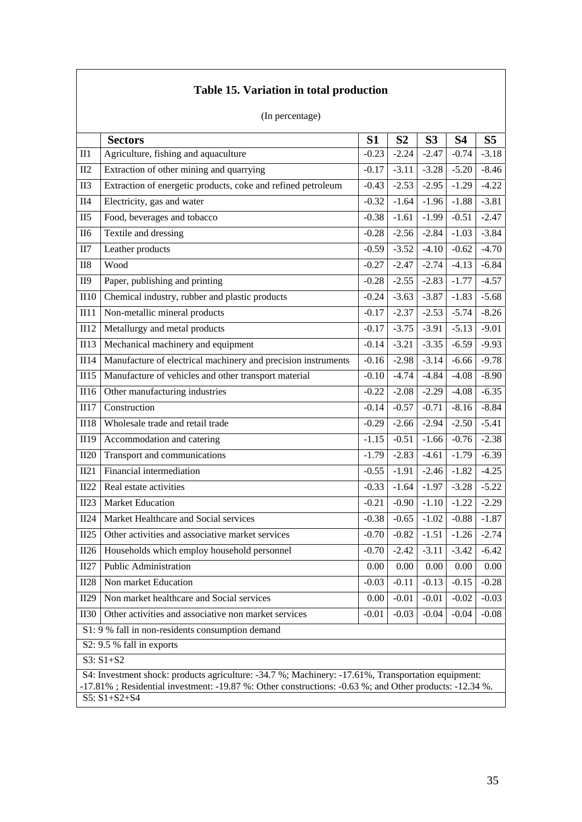|                 | (In percentage)                                                                                                                                                                                                                    |         |                |                |           |                 |  |  |
|-----------------|------------------------------------------------------------------------------------------------------------------------------------------------------------------------------------------------------------------------------------|---------|----------------|----------------|-----------|-----------------|--|--|
|                 | <b>Sectors</b>                                                                                                                                                                                                                     | S1      | S <sub>2</sub> | S <sub>3</sub> | <b>S4</b> | S <sub>5</sub>  |  |  |
| II1             | Agriculture, fishing and aquaculture                                                                                                                                                                                               | $-0.23$ | $-2.24$        | $-2.47$        | $-0.74$   | $-3.18$         |  |  |
| II2             | Extraction of other mining and quarrying                                                                                                                                                                                           | $-0.17$ | $-3.11$        | $-3.28$        | $-5.20$   | $-8.46$         |  |  |
| II <sub>3</sub> | Extraction of energetic products, coke and refined petroleum                                                                                                                                                                       | $-0.43$ | $-2.53$        | $-2.95$        | $-1.29$   | $-4.22$         |  |  |
| II4             | Electricity, gas and water                                                                                                                                                                                                         | $-0.32$ | $-1.64$        | $-1.96$        | $-1.88$   | $-3.81$         |  |  |
| II5             | Food, beverages and tobacco                                                                                                                                                                                                        | $-0.38$ | $-1.61$        | $-1.99$        | $-0.51$   | $-2.47$         |  |  |
| <b>II6</b>      | Textile and dressing                                                                                                                                                                                                               | $-0.28$ | $-2.56$        | $-2.84$        | $-1.03$   | $-3.84$         |  |  |
| II7             | Leather products                                                                                                                                                                                                                   | $-0.59$ | $-3.52$        | $-4.10$        | $-0.62$   | $-4.70$         |  |  |
| II8             | Wood                                                                                                                                                                                                                               | $-0.27$ | $-2.47$        | $-2.74$        | $-4.13$   | $-6.84$         |  |  |
| <b>II9</b>      | Paper, publishing and printing                                                                                                                                                                                                     | $-0.28$ | $-2.55$        | $-2.83$        | $-1.77$   | $-4.57$         |  |  |
| II10            | Chemical industry, rubber and plastic products                                                                                                                                                                                     | $-0.24$ | $-3.63$        | $-3.87$        | $-1.83$   | $-5.68$         |  |  |
| III11           | Non-metallic mineral products                                                                                                                                                                                                      | $-0.17$ | $-2.37$        | $-2.53$        | $-5.74$   | $-8.26$         |  |  |
| II12            | Metallurgy and metal products                                                                                                                                                                                                      | $-0.17$ | $-3.75$        | $-3.91$        | $-5.13$   | $-9.01$         |  |  |
| III3            | Mechanical machinery and equipment                                                                                                                                                                                                 | $-0.14$ | $-3.21$        | $-3.35$        | $-6.59$   | $-9.93$         |  |  |
| II14            | Manufacture of electrical machinery and precision instruments                                                                                                                                                                      | $-0.16$ | $-2.98$        | $-3.14$        | $-6.66$   | $-9.78$         |  |  |
| II15            | Manufacture of vehicles and other transport material                                                                                                                                                                               | $-0.10$ | $-4.74$        | $-4.84$        | $-4.08$   | $-8.90$         |  |  |
| II16            | Other manufacturing industries                                                                                                                                                                                                     | $-0.22$ | $-2.08$        | $-2.29$        | $-4.08$   | $-6.35$         |  |  |
| II17            | Construction                                                                                                                                                                                                                       | $-0.14$ | $-0.57$        | $-0.71$        | $-8.16$   | $-8.84$         |  |  |
| II18            | Wholesale trade and retail trade                                                                                                                                                                                                   | $-0.29$ | $-2.66$        | $-2.94$        | $-2.50$   | $-5.41$         |  |  |
| II19            | Accommodation and catering                                                                                                                                                                                                         | $-1.15$ | $-0.51$        | $-1.66$        | $-0.76$   | $-2.38$         |  |  |
| II20            | Transport and communications                                                                                                                                                                                                       | $-1.79$ | $-2.83$        | $-4.61$        | $-1.79$   | $-6.39$         |  |  |
| II21            | Financial intermediation                                                                                                                                                                                                           | $-0.55$ | $-1.91$        | $-2.46$        | $-1.82$   | $-4.25$         |  |  |
| II22            | Real estate activities                                                                                                                                                                                                             | $-0.33$ | $-1.64$        | $-1.97$        | $-3.28$   | $-5.22$         |  |  |
| II23            | <b>Market Education</b>                                                                                                                                                                                                            | $-0.21$ | $-0.90$        | $-1.10$        | $-1.22$   | $-2.29$         |  |  |
| II24            | Market Healthcare and Social services                                                                                                                                                                                              | $-0.38$ | $-0.65$        | $-1.02$        | $-0.88$   | $-1.87$         |  |  |
| II25            | Other activities and associative market services                                                                                                                                                                                   | $-0.70$ | $-0.82$        | $-1.51$        |           | $-1.26$ $-2.74$ |  |  |
| II26            | Households which employ household personnel                                                                                                                                                                                        | $-0.70$ | $-2.42$        | $-3.11$        | $-3.42$   | $-6.42$         |  |  |
| II27            | <b>Public Administration</b>                                                                                                                                                                                                       | 0.00    | 0.00           | 0.00           | 0.00      | 0.00            |  |  |
| II28            | Non market Education                                                                                                                                                                                                               | $-0.03$ | $-0.11$        | $-0.13$        | $-0.15$   | $-0.28$         |  |  |
| II29            | Non market healthcare and Social services                                                                                                                                                                                          | 0.00    | $-0.01$        | $-0.01$        | $-0.02$   | $-0.03$         |  |  |
| <b>II30</b>     | Other activities and associative non market services                                                                                                                                                                               | $-0.01$ | $-0.03$        | $-0.04$        | $-0.04$   | $-0.08$         |  |  |
|                 | S1: 9 % fall in non-residents consumption demand                                                                                                                                                                                   |         |                |                |           |                 |  |  |
|                 | S2: 9.5 % fall in exports                                                                                                                                                                                                          |         |                |                |           |                 |  |  |
|                 | $S3: S1 + S2$                                                                                                                                                                                                                      |         |                |                |           |                 |  |  |
|                 | S4: Investment shock: products agriculture: -34.7 %; Machinery: -17.61%, Transportation equipment:<br>-17.81%; Residential investment: -19.87 %: Other constructions: -0.63 %; and Other products: -12.34 %.<br>$S5: S1 + S2 + S4$ |         |                |                |           |                 |  |  |

# **Table 15. Variation in total production**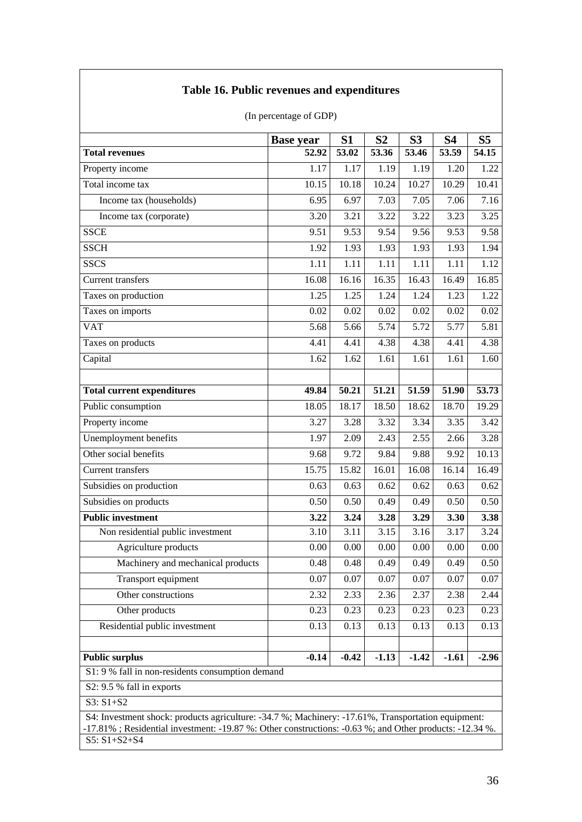|                                                                                                                                                                                                                                    | <b>Base year</b> | S <sub>1</sub> | S <sub>2</sub> | S <sub>3</sub> | <b>S4</b> | S <sub>5</sub> |  |  |  |
|------------------------------------------------------------------------------------------------------------------------------------------------------------------------------------------------------------------------------------|------------------|----------------|----------------|----------------|-----------|----------------|--|--|--|
| <b>Total revenues</b>                                                                                                                                                                                                              | 52.92            | 53.02          | 53.36          | 53.46          | 53.59     | 54.15          |  |  |  |
| Property income                                                                                                                                                                                                                    | 1.17             | 1.17           | 1.19           | 1.19           | 1.20      | 1.22           |  |  |  |
| Total income tax                                                                                                                                                                                                                   | 10.15            | 10.18          | 10.24          | 10.27          | 10.29     | 10.41          |  |  |  |
| Income tax (households)                                                                                                                                                                                                            | 6.95             | 6.97           | 7.03           | 7.05           | 7.06      | 7.16           |  |  |  |
| Income tax (corporate)                                                                                                                                                                                                             | 3.20             | 3.21           | 3.22           | 3.22           | 3.23      | 3.25           |  |  |  |
| <b>SSCE</b>                                                                                                                                                                                                                        | 9.51             | 9.53           | 9.54           | 9.56           | 9.53      | 9.58           |  |  |  |
| <b>SSCH</b>                                                                                                                                                                                                                        | 1.92             | 1.93           | 1.93           | 1.93           | 1.93      | 1.94           |  |  |  |
| <b>SSCS</b>                                                                                                                                                                                                                        | 1.11             | 1.11           | 1.11           | 1.11           | 1.11      | 1.12           |  |  |  |
| <b>Current transfers</b>                                                                                                                                                                                                           | 16.08            | 16.16          | 16.35          | 16.43          | 16.49     | 16.85          |  |  |  |
| Taxes on production                                                                                                                                                                                                                | 1.25             | 1.25           | 1.24           | 1.24           | 1.23      | 1.22           |  |  |  |
| Taxes on imports                                                                                                                                                                                                                   | 0.02             | 0.02           | 0.02           | 0.02           | 0.02      | 0.02           |  |  |  |
| <b>VAT</b>                                                                                                                                                                                                                         | 5.68             | 5.66           | 5.74           | 5.72           | 5.77      | 5.81           |  |  |  |
| Taxes on products                                                                                                                                                                                                                  | 4.41             | 4.41           | 4.38           | 4.38           | 4.41      | 4.38           |  |  |  |
| Capital                                                                                                                                                                                                                            | 1.62             | 1.62           | 1.61           | 1.61           | 1.61      | 1.60           |  |  |  |
|                                                                                                                                                                                                                                    |                  |                |                |                |           |                |  |  |  |
| <b>Total current expenditures</b>                                                                                                                                                                                                  | 49.84            | 50.21          | 51.21          | 51.59          | 51.90     | 53.73          |  |  |  |
| Public consumption                                                                                                                                                                                                                 | 18.05            | 18.17          | 18.50          | 18.62          | 18.70     | 19.29          |  |  |  |
| Property income                                                                                                                                                                                                                    | 3.27             | 3.28           | 3.32           | 3.34           | 3.35      | 3.42           |  |  |  |
| Unemployment benefits                                                                                                                                                                                                              | 1.97             | 2.09           | 2.43           | 2.55           | 2.66      | 3.28           |  |  |  |
| Other social benefits                                                                                                                                                                                                              | 9.68             | 9.72           | 9.84           | 9.88           | 9.92      | 10.13          |  |  |  |
| <b>Current transfers</b>                                                                                                                                                                                                           | 15.75            | 15.82          | 16.01          | 16.08          | 16.14     | 16.49          |  |  |  |
| Subsidies on production                                                                                                                                                                                                            | 0.63             | 0.63           | 0.62           | 0.62           | 0.63      | 0.62           |  |  |  |
| Subsidies on products                                                                                                                                                                                                              | 0.50             | 0.50           | 0.49           | 0.49           | 0.50      | 0.50           |  |  |  |
| <b>Public investment</b>                                                                                                                                                                                                           | 3.22             | 3.24           | 3.28           | 3.29           | 3.30      | 3.38           |  |  |  |
| Non residential public investment                                                                                                                                                                                                  | 3.10             | 3.11           | 3.15           | 3.16           | 3.17      | 3.24           |  |  |  |
| Agriculture products                                                                                                                                                                                                               | 0.00             | 0.00           | 0.00           | 0.00           | 0.00      | 0.00           |  |  |  |
| Machinery and mechanical products                                                                                                                                                                                                  | 0.48             | 0.48           | 0.49           | 0.49           | 0.49      | 0.50           |  |  |  |
| Transport equipment                                                                                                                                                                                                                | 0.07             | 0.07           | 0.07           | 0.07           | 0.07      | 0.07           |  |  |  |
| Other constructions                                                                                                                                                                                                                | 2.32             | 2.33           | 2.36           | 2.37           | 2.38      | 2.44           |  |  |  |
| Other products                                                                                                                                                                                                                     | 0.23             | 0.23           | 0.23           | 0.23           | 0.23      | 0.23           |  |  |  |
| Residential public investment                                                                                                                                                                                                      | 0.13             | 0.13           | 0.13           | 0.13           | 0.13      | 0.13           |  |  |  |
|                                                                                                                                                                                                                                    |                  |                |                |                |           |                |  |  |  |
| <b>Public surplus</b>                                                                                                                                                                                                              | $-0.14$          | $-0.42$        | $-1.13$        | $-1.42$        | $-1.61$   | $-2.96$        |  |  |  |
| S1: 9 % fall in non-residents consumption demand                                                                                                                                                                                   |                  |                |                |                |           |                |  |  |  |
| S2: 9.5 % fall in exports                                                                                                                                                                                                          |                  |                |                |                |           |                |  |  |  |
| $S3: S1 + S2$                                                                                                                                                                                                                      |                  |                |                |                |           |                |  |  |  |
| S4: Investment shock: products agriculture: -34.7 %; Machinery: -17.61%, Transportation equipment:<br>-17.81%; Residential investment: -19.87 %: Other constructions: -0.63 %; and Other products: -12.34 %.<br>$S5: S1 + S2 + S4$ |                  |                |                |                |           |                |  |  |  |

### (In percentage of GDP)

**Table 16. Public revenues and expenditures**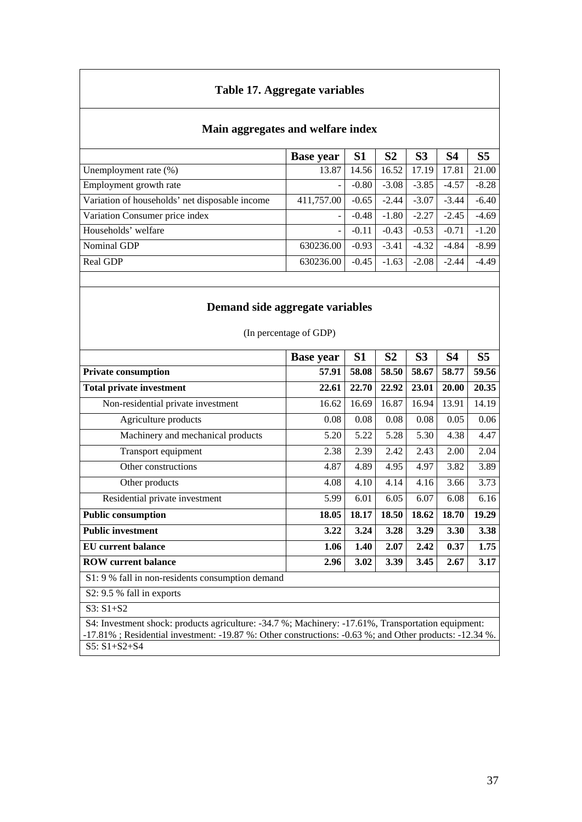### **Table 17. Aggregate variables**

# **Main aggregates and welfare index**

|                                                | <b>Base year</b>         | S <sub>1</sub> | S <sub>2</sub> | S <sub>3</sub> | S <sub>4</sub> | S <sub>5</sub> |
|------------------------------------------------|--------------------------|----------------|----------------|----------------|----------------|----------------|
| Unemployment rate $(\%)$                       | 13.87                    | 14.56          | 16.52          | 17.19          | 17.81          | 21.00          |
| Employment growth rate                         |                          | $-0.80$        | $-3.08$        | $-3.85$        | $-4.57$        | $-8.28$        |
| Variation of households' net disposable income | 411,757.00               | $-0.65$        | $-2.44$        | $-3.07$        | $-3.44$        | $-6.40$        |
| Variation Consumer price index                 | $\overline{\phantom{m}}$ | $-0.48$        | $-1.80$        | $-2.27$        | $-2.45$        | $-4.69$        |
| Households' welfare                            |                          | $-0.11$        | $-0.43$        | $-0.53$        | $-0.71$        | $-1.20$        |
| Nominal GDP                                    | 630236.00                | $-0.93$        | $-3.41$        | $-4.32$        | $-4.84$        | $-8.99$        |
| Real GDP                                       | 630236.00                | $-0.45$        | $-1.63$        | $-2.08$        | $-2.44$        | $-4.49$        |

### **Demand side aggregate variables**

| (In percentage of GDP) |
|------------------------|
|------------------------|

|                                                  | <b>Base year</b> | S1    | S <sub>2</sub> | S <sub>3</sub> | S4    | S <sub>5</sub> |
|--------------------------------------------------|------------------|-------|----------------|----------------|-------|----------------|
| <b>Private consumption</b>                       | 57.91            | 58.08 | 58.50          | 58.67          | 58.77 | 59.56          |
| <b>Total private investment</b>                  | 22.61            | 22.70 | 22.92          | 23.01          | 20.00 | 20.35          |
| Non-residential private investment               | 16.62            | 16.69 | 16.87          | 16.94          | 13.91 | 14.19          |
| Agriculture products                             | 0.08             | 0.08  | 0.08           | 0.08           | 0.05  | 0.06           |
| Machinery and mechanical products                | 5.20             | 5.22  | 5.28           | 5.30           | 4.38  | 4.47           |
| Transport equipment                              | 2.38             | 2.39  | 2.42           | 2.43           | 2.00  | 2.04           |
| Other constructions                              | 4.87             | 4.89  | 4.95           | 4.97           | 3.82  | 3.89           |
| Other products                                   | 4.08             | 4.10  | 4.14           | 4.16           | 3.66  | 3.73           |
| Residential private investment                   | 5.99             | 6.01  | 6.05           | 6.07           | 6.08  | 6.16           |
| <b>Public consumption</b>                        | 18.05            | 18.17 | 18.50          | 18.62          | 18.70 | 19.29          |
| <b>Public investment</b>                         | 3.22             | 3.24  | 3.28           | 3.29           | 3.30  | 3.38           |
| EU current balance                               | 1.06             | 1.40  | 2.07           | 2.42           | 0.37  | 1.75           |
| <b>ROW</b> current balance                       | 2.96             | 3.02  | 3.39           | 3.45           | 2.67  | 3.17           |
| S1: 9 % fall in non-residents consumption demand |                  |       |                |                |       |                |
| S2: 9.5 % fall in exports                        |                  |       |                |                |       |                |
| $S3: S1+S2$                                      |                  |       |                |                |       |                |

 S4: Investment shock: products agriculture: -34.7 %; Machinery: -17.61%, Transportation equipment: -17.81% ; Residential investment: -19.87 %: Other constructions: -0.63 %; and Other products: -12.34 %. S5: S1+S2+S4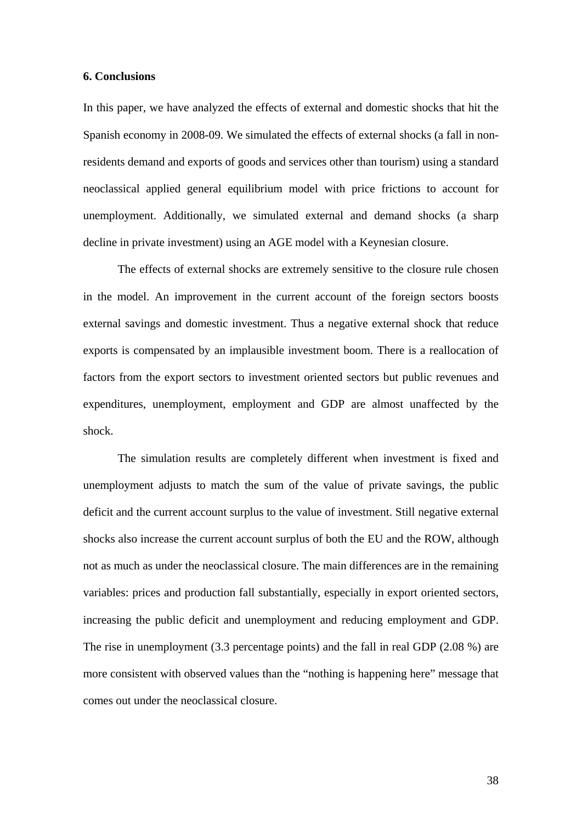#### **6. Conclusions**

In this paper, we have analyzed the effects of external and domestic shocks that hit the Spanish economy in 2008-09. We simulated the effects of external shocks (a fall in nonresidents demand and exports of goods and services other than tourism) using a standard neoclassical applied general equilibrium model with price frictions to account for unemployment. Additionally, we simulated external and demand shocks (a sharp decline in private investment) using an AGE model with a Keynesian closure.

 The effects of external shocks are extremely sensitive to the closure rule chosen in the model. An improvement in the current account of the foreign sectors boosts external savings and domestic investment. Thus a negative external shock that reduce exports is compensated by an implausible investment boom. There is a reallocation of factors from the export sectors to investment oriented sectors but public revenues and expenditures, unemployment, employment and GDP are almost unaffected by the shock.

The simulation results are completely different when investment is fixed and unemployment adjusts to match the sum of the value of private savings, the public deficit and the current account surplus to the value of investment. Still negative external shocks also increase the current account surplus of both the EU and the ROW, although not as much as under the neoclassical closure. The main differences are in the remaining variables: prices and production fall substantially, especially in export oriented sectors, increasing the public deficit and unemployment and reducing employment and GDP. The rise in unemployment (3.3 percentage points) and the fall in real GDP (2.08 %) are more consistent with observed values than the "nothing is happening here" message that comes out under the neoclassical closure.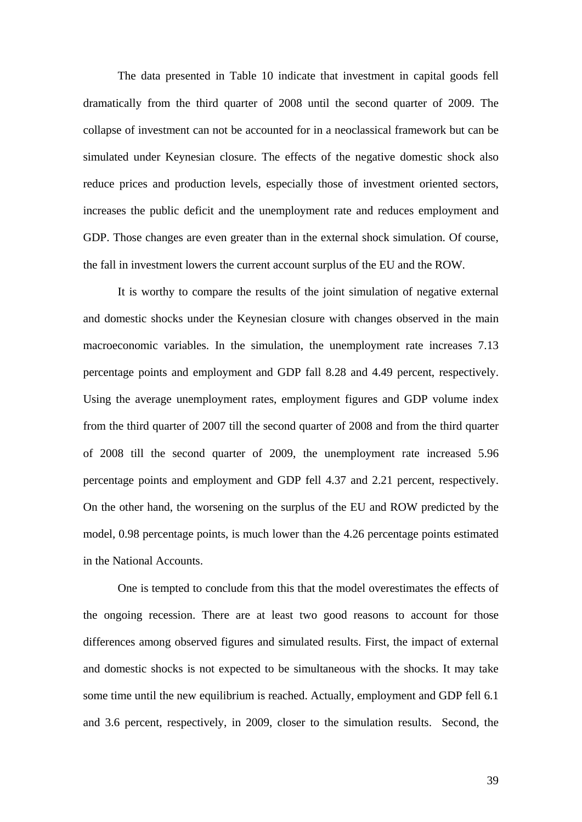The data presented in Table 10 indicate that investment in capital goods fell dramatically from the third quarter of 2008 until the second quarter of 2009. The collapse of investment can not be accounted for in a neoclassical framework but can be simulated under Keynesian closure. The effects of the negative domestic shock also reduce prices and production levels, especially those of investment oriented sectors, increases the public deficit and the unemployment rate and reduces employment and GDP. Those changes are even greater than in the external shock simulation. Of course, the fall in investment lowers the current account surplus of the EU and the ROW.

It is worthy to compare the results of the joint simulation of negative external and domestic shocks under the Keynesian closure with changes observed in the main macroeconomic variables. In the simulation, the unemployment rate increases 7.13 percentage points and employment and GDP fall 8.28 and 4.49 percent, respectively. Using the average unemployment rates, employment figures and GDP volume index from the third quarter of 2007 till the second quarter of 2008 and from the third quarter of 2008 till the second quarter of 2009, the unemployment rate increased 5.96 percentage points and employment and GDP fell 4.37 and 2.21 percent, respectively. On the other hand, the worsening on the surplus of the EU and ROW predicted by the model, 0.98 percentage points, is much lower than the 4.26 percentage points estimated in the National Accounts.

One is tempted to conclude from this that the model overestimates the effects of the ongoing recession. There are at least two good reasons to account for those differences among observed figures and simulated results. First, the impact of external and domestic shocks is not expected to be simultaneous with the shocks. It may take some time until the new equilibrium is reached. Actually, employment and GDP fell 6.1 and 3.6 percent, respectively, in 2009, closer to the simulation results. Second, the

39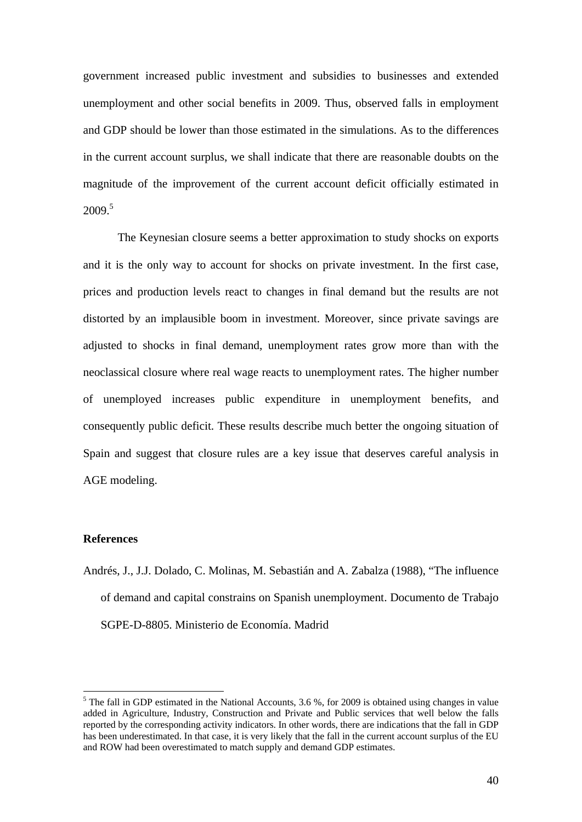government increased public investment and subsidies to businesses and extended unemployment and other social benefits in 2009. Thus, observed falls in employment and GDP should be lower than those estimated in the simulations. As to the differences in the current account surplus, we shall indicate that there are reasonable doubts on the magnitude of the improvement of the current account deficit officially estimated in  $2009<sup>5</sup>$ 

 The Keynesian closure seems a better approximation to study shocks on exports and it is the only way to account for shocks on private investment. In the first case, prices and production levels react to changes in final demand but the results are not distorted by an implausible boom in investment. Moreover, since private savings are adjusted to shocks in final demand, unemployment rates grow more than with the neoclassical closure where real wage reacts to unemployment rates. The higher number of unemployed increases public expenditure in unemployment benefits, and consequently public deficit. These results describe much better the ongoing situation of Spain and suggest that closure rules are a key issue that deserves careful analysis in AGE modeling.

### **References**

1

Andrés, J., J.J. Dolado, C. Molinas, M. Sebastián and A. Zabalza (1988), "The influence of demand and capital constrains on Spanish unemployment. Documento de Trabajo SGPE-D-8805. Ministerio de Economía. Madrid

 $<sup>5</sup>$  The fall in GDP estimated in the National Accounts, 3.6 %, for 2009 is obtained using changes in value</sup> added in Agriculture, Industry, Construction and Private and Public services that well below the falls reported by the corresponding activity indicators. In other words, there are indications that the fall in GDP has been underestimated. In that case, it is very likely that the fall in the current account surplus of the EU and ROW had been overestimated to match supply and demand GDP estimates.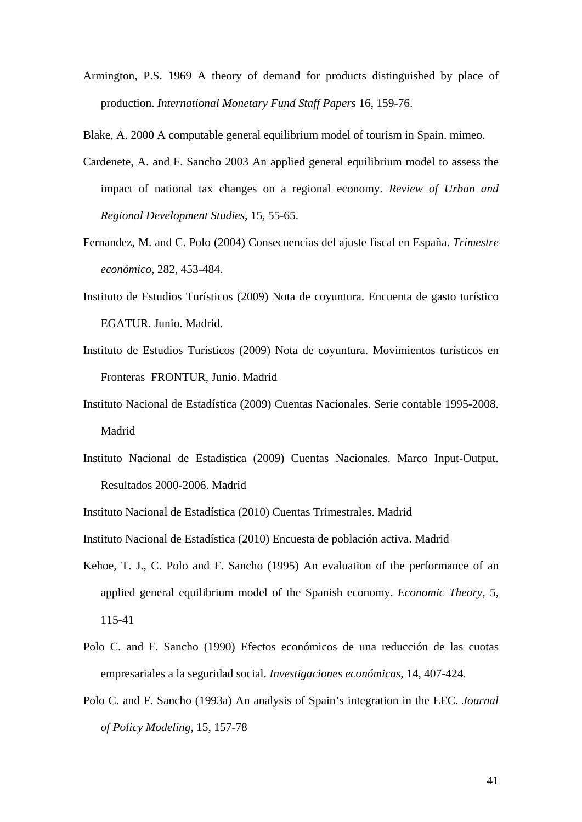Armington, P.S. 1969 A theory of demand for products distinguished by place of production. *International Monetary Fund Staff Papers* 16, 159-76.

Blake, A. 2000 A computable general equilibrium model of tourism in Spain. mimeo.

- Cardenete, A. and F. Sancho 2003 An applied general equilibrium model to assess the impact of national tax changes on a regional economy. *Review of Urban and Regional Development Studies*, 15, 55-65.
- Fernandez, M. and C. Polo (2004) Consecuencias del ajuste fiscal en España. *Trimestre económico*, 282, 453-484.
- Instituto de Estudios Turísticos (2009) Nota de coyuntura. Encuenta de gasto turístico EGATUR. Junio. Madrid.
- Instituto de Estudios Turísticos (2009) Nota de coyuntura. Movimientos turísticos en Fronteras FRONTUR, Junio. Madrid
- Instituto Nacional de Estadística (2009) Cuentas Nacionales. Serie contable 1995-2008. Madrid
- Instituto Nacional de Estadística (2009) Cuentas Nacionales. Marco Input-Output. Resultados 2000-2006. Madrid

Instituto Nacional de Estadística (2010) Cuentas Trimestrales. Madrid

Instituto Nacional de Estadística (2010) Encuesta de población activa. Madrid

- Kehoe, T. J., C. Polo and F. Sancho (1995) An evaluation of the performance of an applied general equilibrium model of the Spanish economy. *Economic Theory*, 5, 115-41
- Polo C. and F. Sancho (1990) Efectos económicos de una reducción de las cuotas empresariales a la seguridad social. *Investigaciones económicas*, 14, 407-424.
- Polo C. and F. Sancho (1993a) An analysis of Spain's integration in the EEC. *Journal of Policy Modeling*, 15, 157-78